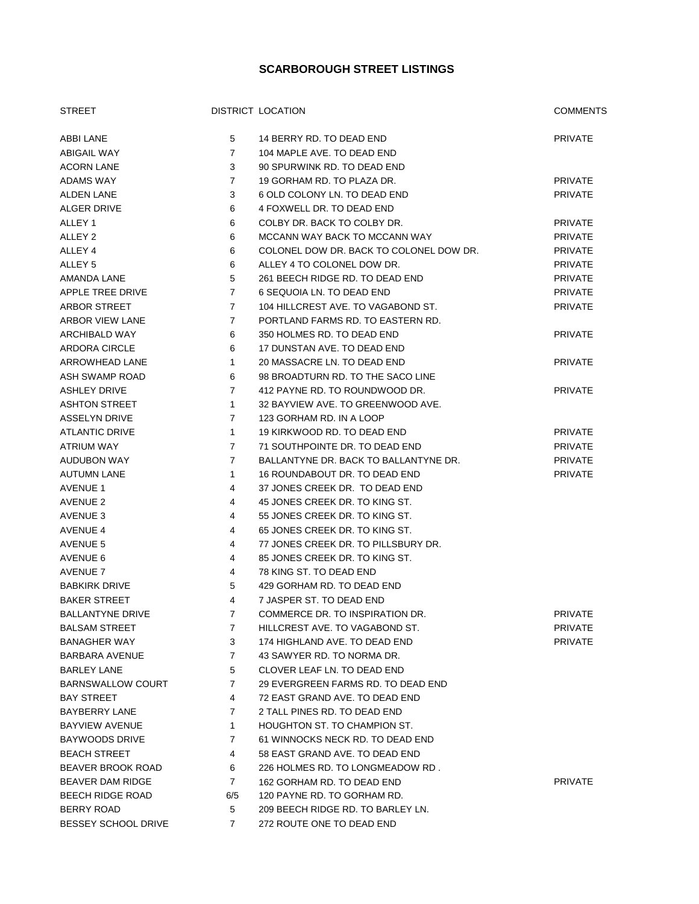## **SCARBOROUGH STREET LISTINGS**

| <b>STREET</b>            |                | DISTRICT LOCATION                       | <b>COMMENTS</b> |
|--------------------------|----------------|-----------------------------------------|-----------------|
| ABBI LANE                | 5              | 14 BERRY RD. TO DEAD END                | <b>PRIVATE</b>  |
| <b>ABIGAIL WAY</b>       | $\overline{7}$ | 104 MAPLE AVE, TO DEAD END              |                 |
| <b>ACORN LANE</b>        | 3              | 90 SPURWINK RD. TO DEAD END             |                 |
| ADAMS WAY                | $\overline{7}$ | 19 GORHAM RD. TO PLAZA DR.              | <b>PRIVATE</b>  |
| <b>ALDEN LANE</b>        | 3              | 6 OLD COLONY LN. TO DEAD END            | <b>PRIVATE</b>  |
| <b>ALGER DRIVE</b>       | 6              | 4 FOXWELL DR. TO DEAD END               |                 |
| ALLEY 1                  | 6              | COLBY DR. BACK TO COLBY DR.             | <b>PRIVATE</b>  |
| ALLEY 2                  | 6              | MCCANN WAY BACK TO MCCANN WAY           | <b>PRIVATE</b>  |
| ALLEY 4                  | 6              | COLONEL DOW DR. BACK TO COLONEL DOW DR. | <b>PRIVATE</b>  |
| ALLEY <sub>5</sub>       | 6              | ALLEY 4 TO COLONEL DOW DR.              | <b>PRIVATE</b>  |
| AMANDA LANE              | 5              | 261 BEECH RIDGE RD. TO DEAD END         | <b>PRIVATE</b>  |
| APPLE TREE DRIVE         | $\overline{7}$ | 6 SEQUOIA LN. TO DEAD END               | <b>PRIVATE</b>  |
| ARBOR STREET             | $\overline{7}$ | 104 HILLCREST AVE. TO VAGABOND ST.      | <b>PRIVATE</b>  |
| ARBOR VIEW LANE          | $\overline{7}$ | PORTLAND FARMS RD. TO EASTERN RD.       |                 |
| ARCHIBALD WAY            | 6              | 350 HOLMES RD. TO DEAD END              | <b>PRIVATE</b>  |
| ARDORA CIRCLE            | 6              | 17 DUNSTAN AVE. TO DEAD END             |                 |
| ARROWHEAD LANE           | $\mathbf{1}$   | 20 MASSACRE LN. TO DEAD END             | <b>PRIVATE</b>  |
| ASH SWAMP ROAD           | 6              | 98 BROADTURN RD. TO THE SACO LINE       |                 |
| <b>ASHLEY DRIVE</b>      | $\overline{7}$ | 412 PAYNE RD. TO ROUNDWOOD DR.          | <b>PRIVATE</b>  |
| <b>ASHTON STREET</b>     | $\mathbf{1}$   | 32 BAYVIEW AVE. TO GREENWOOD AVE.       |                 |
| <b>ASSELYN DRIVE</b>     | $\overline{7}$ | 123 GORHAM RD. IN A LOOP                |                 |
| <b>ATLANTIC DRIVE</b>    | $\mathbf{1}$   | 19 KIRKWOOD RD. TO DEAD END             | <b>PRIVATE</b>  |
| ATRIUM WAY               | $\overline{7}$ | 71 SOUTHPOINTE DR. TO DEAD END          | <b>PRIVATE</b>  |
| AUDUBON WAY              | $\overline{7}$ | BALLANTYNE DR. BACK TO BALLANTYNE DR.   | <b>PRIVATE</b>  |
| <b>AUTUMN LANE</b>       | $\mathbf{1}$   | 16 ROUNDABOUT DR. TO DEAD END           | <b>PRIVATE</b>  |
| <b>AVENUE 1</b>          | 4              | 37 JONES CREEK DR. TO DEAD END          |                 |
| <b>AVENUE 2</b>          | 4              | 45 JONES CREEK DR. TO KING ST.          |                 |
| AVENUE 3                 | 4              | 55 JONES CREEK DR. TO KING ST.          |                 |
| <b>AVENUE 4</b>          | 4              | 65 JONES CREEK DR. TO KING ST.          |                 |
| AVENUE 5                 | 4              | 77 JONES CREEK DR. TO PILLSBURY DR.     |                 |
| AVENUE 6                 | 4              | 85 JONES CREEK DR. TO KING ST.          |                 |
| <b>AVENUE 7</b>          | 4              | 78 KING ST. TO DEAD END                 |                 |
| <b>BABKIRK DRIVE</b>     | 5              | 429 GORHAM RD. TO DEAD END              |                 |
| <b>BAKER STREET</b>      | 4              | 7 JASPER ST. TO DEAD END                |                 |
| <b>BALLANTYNE DRIVE</b>  | $7^{\circ}$    | COMMERCE DR. TO INSPIRATION DR.         | PRIVATE         |
| <b>BALSAM STREET</b>     | 7              | HILLCREST AVE. TO VAGABOND ST.          | PRIVATE         |
| <b>BANAGHER WAY</b>      | 3              | 174 HIGHLAND AVE. TO DEAD END           | <b>PRIVATE</b>  |
| <b>BARBARA AVENUE</b>    | 7              | 43 SAWYER RD. TO NORMA DR.              |                 |
| <b>BARLEY LANE</b>       | 5              | CLOVER LEAF LN. TO DEAD END             |                 |
| <b>BARNSWALLOW COURT</b> | 7              | 29 EVERGREEN FARMS RD. TO DEAD END      |                 |
| <b>BAY STREET</b>        | 4              | 72 EAST GRAND AVE. TO DEAD END          |                 |
| <b>BAYBERRY LANE</b>     | 7              | 2 TALL PINES RD. TO DEAD END            |                 |
| <b>BAYVIEW AVENUE</b>    | $\mathbf{1}$   | <b>HOUGHTON ST. TO CHAMPION ST.</b>     |                 |
| BAYWOODS DRIVE           | 7              | 61 WINNOCKS NECK RD. TO DEAD END        |                 |
| <b>BEACH STREET</b>      | 4              | 58 EAST GRAND AVE. TO DEAD END          |                 |
| BEAVER BROOK ROAD        | 6              | 226 HOLMES RD. TO LONGMEADOW RD.        |                 |
| BEAVER DAM RIDGE         | 7              | 162 GORHAM RD. TO DEAD END              | PRIVATE         |
| <b>BEECH RIDGE ROAD</b>  | 6/5            | 120 PAYNE RD. TO GORHAM RD.             |                 |
| BERRY ROAD               | 5              | 209 BEECH RIDGE RD. TO BARLEY LN.       |                 |
| BESSEY SCHOOL DRIVE      | 7              | 272 ROUTE ONE TO DEAD END               |                 |
|                          |                |                                         |                 |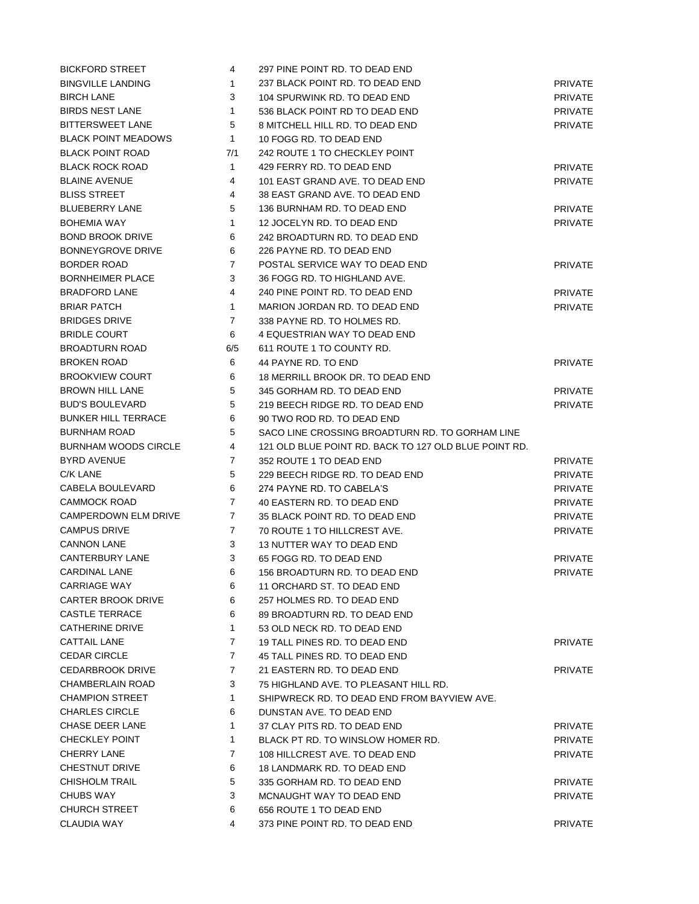| <b>BICKFORD STREET</b>      | 4              | 297 PINE POINT RD. TO DEAD END                        |                |
|-----------------------------|----------------|-------------------------------------------------------|----------------|
| <b>BINGVILLE LANDING</b>    | 1              | 237 BLACK POINT RD. TO DEAD END                       | <b>PRIVATE</b> |
| <b>BIRCH LANE</b>           | 3              | 104 SPURWINK RD. TO DEAD END                          | <b>PRIVATE</b> |
| <b>BIRDS NEST LANE</b>      | 1              | 536 BLACK POINT RD TO DEAD END                        | <b>PRIVATE</b> |
| <b>BITTERSWEET LANE</b>     | 5              | 8 MITCHELL HILL RD. TO DEAD END                       | <b>PRIVATE</b> |
| <b>BLACK POINT MEADOWS</b>  | 1              | 10 FOGG RD. TO DEAD END                               |                |
| <b>BLACK POINT ROAD</b>     | 7/1            | 242 ROUTE 1 TO CHECKLEY POINT                         |                |
| <b>BLACK ROCK ROAD</b>      | $\mathbf{1}$   | 429 FERRY RD. TO DEAD END                             | <b>PRIVATE</b> |
| <b>BLAINE AVENUE</b>        | 4              | 101 EAST GRAND AVE. TO DEAD END                       | <b>PRIVATE</b> |
| <b>BLISS STREET</b>         | 4              | 38 EAST GRAND AVE. TO DEAD END                        |                |
| <b>BLUEBERRY LANE</b>       | 5              | 136 BURNHAM RD. TO DEAD END                           | <b>PRIVATE</b> |
| <b>BOHEMIA WAY</b>          | 1              | 12 JOCELYN RD. TO DEAD END                            | <b>PRIVATE</b> |
| <b>BOND BROOK DRIVE</b>     | 6              | 242 BROADTURN RD. TO DEAD END                         |                |
| <b>BONNEYGROVE DRIVE</b>    | 6              | 226 PAYNE RD. TO DEAD END                             |                |
| <b>BORDER ROAD</b>          | $\overline{7}$ | POSTAL SERVICE WAY TO DEAD END                        | <b>PRIVATE</b> |
| <b>BORNHEIMER PLACE</b>     | 3              | 36 FOGG RD. TO HIGHLAND AVE.                          |                |
| <b>BRADFORD LANE</b>        | 4              | 240 PINE POINT RD. TO DEAD END                        | <b>PRIVATE</b> |
| <b>BRIAR PATCH</b>          | 1              | MARION JORDAN RD. TO DEAD END                         | <b>PRIVATE</b> |
| <b>BRIDGES DRIVE</b>        | 7              | 338 PAYNE RD. TO HOLMES RD.                           |                |
| <b>BRIDLE COURT</b>         | 6              | 4 EQUESTRIAN WAY TO DEAD END                          |                |
| <b>BROADTURN ROAD</b>       | 6/5            | 611 ROUTE 1 TO COUNTY RD.                             |                |
| <b>BROKEN ROAD</b>          | 6              | 44 PAYNE RD. TO END                                   | <b>PRIVATE</b> |
| <b>BROOKVIEW COURT</b>      | 6              | 18 MERRILL BROOK DR. TO DEAD END                      |                |
| <b>BROWN HILL LANE</b>      | 5              | 345 GORHAM RD. TO DEAD END                            | <b>PRIVATE</b> |
| <b>BUD'S BOULEVARD</b>      | 5              | 219 BEECH RIDGE RD. TO DEAD END                       | <b>PRIVATE</b> |
| <b>BUNKER HILL TERRACE</b>  | 6              | 90 TWO ROD RD. TO DEAD END                            |                |
| <b>BURNHAM ROAD</b>         | 5              | SACO LINE CROSSING BROADTURN RD. TO GORHAM LINE       |                |
| <b>BURNHAM WOODS CIRCLE</b> | 4              | 121 OLD BLUE POINT RD. BACK TO 127 OLD BLUE POINT RD. |                |
| <b>BYRD AVENUE</b>          | $\overline{7}$ | 352 ROUTE 1 TO DEAD END                               | <b>PRIVATE</b> |
| C/K LANE                    | 5              | 229 BEECH RIDGE RD. TO DEAD END                       | <b>PRIVATE</b> |
| CABELA BOULEVARD            | 6              | 274 PAYNE RD. TO CABELA'S                             | <b>PRIVATE</b> |
| <b>CAMMOCK ROAD</b>         | $\overline{7}$ | 40 EASTERN RD. TO DEAD END                            | <b>PRIVATE</b> |
| CAMPERDOWN ELM DRIVE        | $\overline{7}$ | 35 BLACK POINT RD. TO DEAD END                        | <b>PRIVATE</b> |
| <b>CAMPUS DRIVE</b>         | $\overline{7}$ | 70 ROUTE 1 TO HILLCREST AVE.                          | <b>PRIVATE</b> |
| <b>CANNON LANE</b>          | 3              | 13 NUTTER WAY TO DEAD END                             |                |
| <b>CANTERBURY LANE</b>      | 3              | 65 FOGG RD. TO DEAD END                               | <b>PRIVATE</b> |
| <b>CARDINAL LANE</b>        | 6              | 156 BROADTURN RD. TO DEAD END                         | <b>PRIVATE</b> |
| <b>CARRIAGE WAY</b>         | 6              | 11 ORCHARD ST. TO DEAD END                            |                |
| CARTER BROOK DRIVE          | 6              | 257 HOLMES RD. TO DEAD END                            |                |
| <b>CASTLE TERRACE</b>       | 6              | 89 BROADTURN RD. TO DEAD END                          |                |
| <b>CATHERINE DRIVE</b>      | $\mathbf{1}$   | 53 OLD NECK RD. TO DEAD END                           |                |
| <b>CATTAIL LANE</b>         | 7              | 19 TALL PINES RD. TO DEAD END                         | <b>PRIVATE</b> |
| <b>CEDAR CIRCLE</b>         | 7              | 45 TALL PINES RD. TO DEAD END                         |                |
| <b>CEDARBROOK DRIVE</b>     | $\overline{7}$ | 21 EASTERN RD. TO DEAD END                            | <b>PRIVATE</b> |
| <b>CHAMBERLAIN ROAD</b>     | 3              | 75 HIGHLAND AVE. TO PLEASANT HILL RD.                 |                |
| <b>CHAMPION STREET</b>      | $\mathbf{1}$   | SHIPWRECK RD. TO DEAD END FROM BAYVIEW AVE.           |                |
| <b>CHARLES CIRCLE</b>       | 6              | DUNSTAN AVE. TO DEAD END                              |                |
| CHASE DEER LANE             | 1              | 37 CLAY PITS RD. TO DEAD END                          | <b>PRIVATE</b> |
| <b>CHECKLEY POINT</b>       | $\mathbf{1}$   | BLACK PT RD. TO WINSLOW HOMER RD.                     | <b>PRIVATE</b> |
| <b>CHERRY LANE</b>          | $\overline{7}$ | 108 HILLCREST AVE. TO DEAD END                        | <b>PRIVATE</b> |
| CHESTNUT DRIVE              | 6              | 18 LANDMARK RD. TO DEAD END                           |                |
| <b>CHISHOLM TRAIL</b>       | 5              | 335 GORHAM RD. TO DEAD END                            | <b>PRIVATE</b> |
| <b>CHUBS WAY</b>            | 3              | MCNAUGHT WAY TO DEAD END                              | <b>PRIVATE</b> |
| <b>CHURCH STREET</b>        | 6              | 656 ROUTE 1 TO DEAD END                               |                |
| CLAUDIA WAY                 | 4              | 373 PINE POINT RD. TO DEAD END                        | PRIVATE        |
|                             |                |                                                       |                |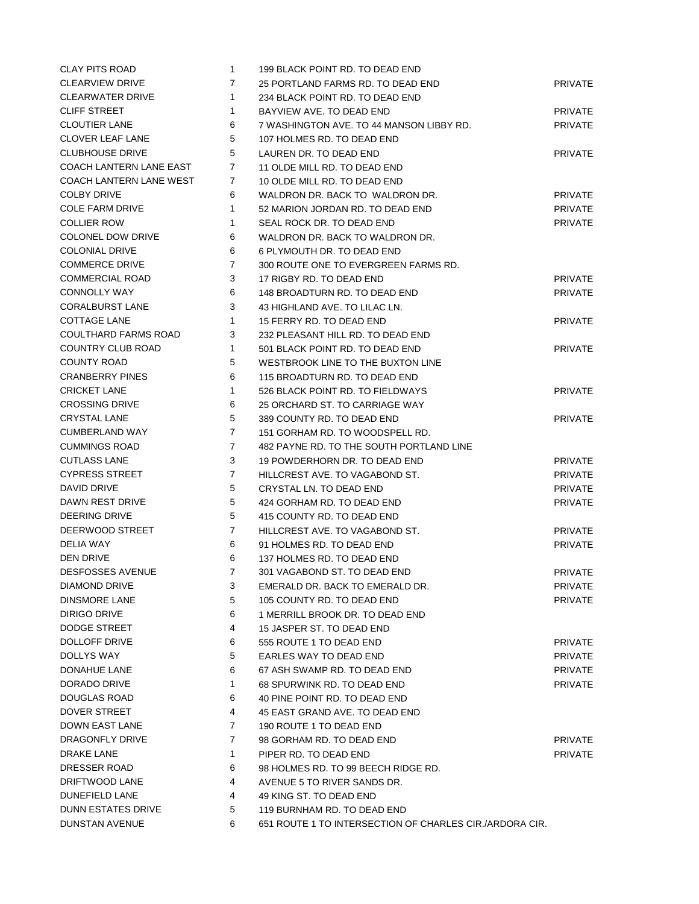| <b>CLAY PITS ROAD</b>       | $\mathbf{1}$   | 199 BLACK POINT RD. TO DEAD END                             |                                  |
|-----------------------------|----------------|-------------------------------------------------------------|----------------------------------|
| <b>CLEARVIEW DRIVE</b>      | 7              | 25 PORTLAND FARMS RD. TO DEAD END                           | <b>PRIVATE</b>                   |
| CLEARWATER DRIVE            | 1              | 234 BLACK POINT RD. TO DEAD END                             |                                  |
| <b>CLIFF STREET</b>         | 1              | BAYVIEW AVE, TO DEAD END                                    | <b>PRIVATE</b>                   |
| <b>CLOUTIER LANE</b>        | 6              | 7 WASHINGTON AVE. TO 44 MANSON LIBBY RD.                    | <b>PRIVATE</b>                   |
| <b>CLOVER LEAF LANE</b>     | 5              | 107 HOLMES RD. TO DEAD END                                  |                                  |
| <b>CLUBHOUSE DRIVE</b>      | 5              | LAUREN DR. TO DEAD END                                      | <b>PRIVATE</b>                   |
| COACH LANTERN LANE EAST     | 7              | 11 OLDE MILL RD. TO DEAD END                                |                                  |
| COACH LANTERN LANE WEST     | 7              | 10 OLDE MILL RD. TO DEAD END                                |                                  |
| <b>COLBY DRIVE</b>          | 6              | WALDRON DR. BACK TO WALDRON DR.                             | <b>PRIVATE</b>                   |
| <b>COLE FARM DRIVE</b>      | 1              | 52 MARION JORDAN RD. TO DEAD END                            | <b>PRIVATE</b>                   |
| <b>COLLIER ROW</b>          | 1              | SEAL ROCK DR. TO DEAD END                                   | <b>PRIVATE</b>                   |
| <b>COLONEL DOW DRIVE</b>    | 6              | WALDRON DR. BACK TO WALDRON DR.                             |                                  |
| <b>COLONIAL DRIVE</b>       | 6              | 6 PLYMOUTH DR. TO DEAD END                                  |                                  |
| <b>COMMERCE DRIVE</b>       | 7              | 300 ROUTE ONE TO EVERGREEN FARMS RD.                        |                                  |
| <b>COMMERCIAL ROAD</b>      | 3              | 17 RIGBY RD. TO DEAD END                                    | <b>PRIVATE</b>                   |
| <b>CONNOLLY WAY</b>         | 6              | 148 BROADTURN RD. TO DEAD END                               | <b>PRIVATE</b>                   |
| <b>CORALBURST LANE</b>      | 3              | 43 HIGHLAND AVE. TO LILAC LN.                               |                                  |
| <b>COTTAGE LANE</b>         | 1              | 15 FERRY RD. TO DEAD END                                    | <b>PRIVATE</b>                   |
| <b>COULTHARD FARMS ROAD</b> | 3              | 232 PLEASANT HILL RD. TO DEAD END                           |                                  |
| COUNTRY CLUB ROAD           | 1              | 501 BLACK POINT RD. TO DEAD END                             | <b>PRIVATE</b>                   |
| <b>COUNTY ROAD</b>          | 5              | WESTBROOK LINE TO THE BUXTON LINE                           |                                  |
| <b>CRANBERRY PINES</b>      | 6              | 115 BROADTURN RD. TO DEAD END                               |                                  |
| <b>CRICKET LANE</b>         | 1              | 526 BLACK POINT RD. TO FIELDWAYS                            | <b>PRIVATE</b>                   |
| <b>CROSSING DRIVE</b>       | 6              | 25 ORCHARD ST. TO CARRIAGE WAY                              |                                  |
| <b>CRYSTAL LANE</b>         | 5              | 389 COUNTY RD. TO DEAD END                                  | <b>PRIVATE</b>                   |
| <b>CUMBERLAND WAY</b>       | $\overline{7}$ | 151 GORHAM RD. TO WOODSPELL RD.                             |                                  |
| <b>CUMMINGS ROAD</b>        | $\overline{7}$ | 482 PAYNE RD. TO THE SOUTH PORTLAND LINE                    |                                  |
| <b>CUTLASS LANE</b>         | 3              | 19 POWDERHORN DR. TO DEAD END                               | <b>PRIVATE</b>                   |
| <b>CYPRESS STREET</b>       | $\overline{7}$ | HILLCREST AVE. TO VAGABOND ST.                              | <b>PRIVATE</b>                   |
| DAVID DRIVE                 | 5              | CRYSTAL LN. TO DEAD END                                     | <b>PRIVATE</b>                   |
| DAWN REST DRIVE             | 5              | 424 GORHAM RD. TO DEAD END                                  | <b>PRIVATE</b>                   |
| DEERING DRIVE               | 5              | 415 COUNTY RD. TO DEAD END                                  |                                  |
| DEERWOOD STREET             | $\overline{7}$ |                                                             |                                  |
| <b>DELIA WAY</b>            | 6              | HILLCREST AVE. TO VAGABOND ST.<br>91 HOLMES RD. TO DEAD END | <b>PRIVATE</b><br><b>PRIVATE</b> |
| <b>DEN DRIVE</b>            |                | 137 HOLMES RD. TO DEAD END                                  |                                  |
| <b>DESFOSSES AVENUE</b>     | 6<br>7         | 301 VAGABOND ST. TO DEAD END                                |                                  |
|                             |                |                                                             | PRIVATE                          |
| DIAMOND DRIVE               | 3              | EMERALD DR. BACK TO EMERALD DR.                             | <b>PRIVATE</b>                   |
| DINSMORE LANE               | 5              | 105 COUNTY RD. TO DEAD END                                  | <b>PRIVATE</b>                   |
| DIRIGO DRIVE                | 6              | 1 MERRILL BROOK DR. TO DEAD END                             |                                  |
| DODGE STREET                | 4              | 15 JASPER ST. TO DEAD END                                   |                                  |
| DOLLOFF DRIVE               | 6              | 555 ROUTE 1 TO DEAD END                                     | <b>PRIVATE</b>                   |
| DOLLYS WAY                  | 5              | EARLES WAY TO DEAD END                                      | <b>PRIVATE</b>                   |
| DONAHUE LANE                | 6              | 67 ASH SWAMP RD. TO DEAD END                                | <b>PRIVATE</b>                   |
| DORADO DRIVE                | 1              | 68 SPURWINK RD. TO DEAD END                                 | <b>PRIVATE</b>                   |
| <b>DOUGLAS ROAD</b>         | 6              | 40 PINE POINT RD. TO DEAD END                               |                                  |
| DOVER STREET                | 4              | 45 EAST GRAND AVE. TO DEAD END                              |                                  |
| DOWN EAST LANE              | 7              | 190 ROUTE 1 TO DEAD END                                     |                                  |
| DRAGONFLY DRIVE             | $\overline{7}$ | 98 GORHAM RD. TO DEAD END                                   | <b>PRIVATE</b>                   |
| DRAKE LANE                  | $\mathbf{1}$   | PIPER RD. TO DEAD END                                       | <b>PRIVATE</b>                   |
| DRESSER ROAD                | 6              | 98 HOLMES RD. TO 99 BEECH RIDGE RD.                         |                                  |
| DRIFTWOOD LANE              | 4              | AVENUE 5 TO RIVER SANDS DR.                                 |                                  |
| DUNEFIELD LANE              | 4              | 49 KING ST. TO DEAD END                                     |                                  |
| DUNN ESTATES DRIVE          | 5              | 119 BURNHAM RD. TO DEAD END                                 |                                  |
| <b>DUNSTAN AVENUE</b>       | 6              | 651 ROUTE 1 TO INTERSECTION OF CHARLES CIR./ARDORA CIR.     |                                  |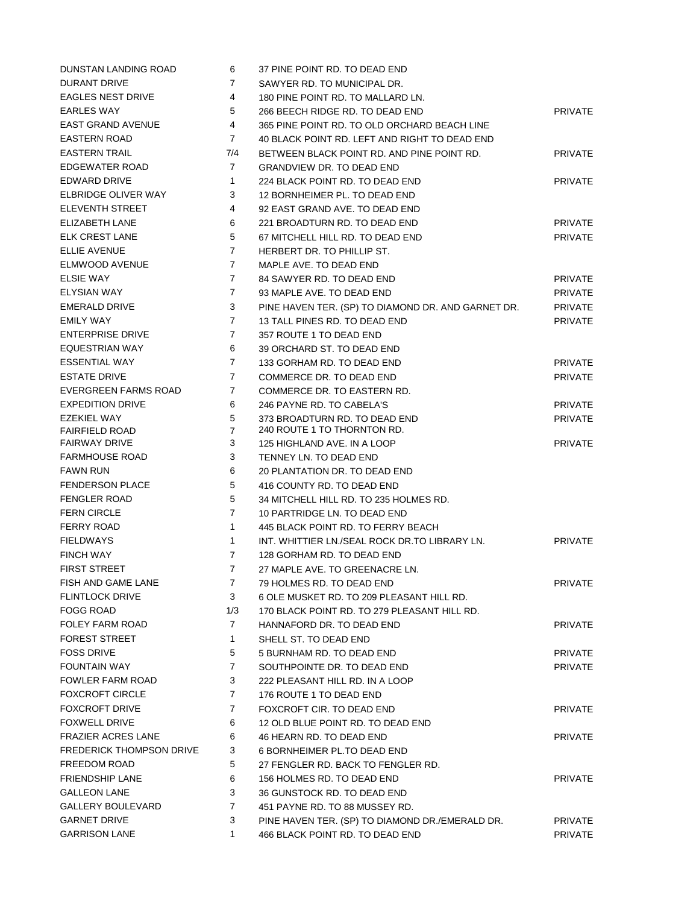| DUNSTAN LANDING ROAD            | 6              | 37 PINE POINT RD. TO DEAD END                      |                |
|---------------------------------|----------------|----------------------------------------------------|----------------|
| <b>DURANT DRIVE</b>             | 7              | SAWYER RD. TO MUNICIPAL DR.                        |                |
| <b>EAGLES NEST DRIVE</b>        | 4              | 180 PINE POINT RD. TO MALLARD LN.                  |                |
| <b>EARLES WAY</b>               | 5              | 266 BEECH RIDGE RD. TO DEAD END                    | <b>PRIVATE</b> |
| <b>EAST GRAND AVENUE</b>        | 4              | 365 PINE POINT RD. TO OLD ORCHARD BEACH LINE       |                |
| <b>EASTERN ROAD</b>             | 7              | 40 BLACK POINT RD. LEFT AND RIGHT TO DEAD END      |                |
| <b>EASTERN TRAIL</b>            | 7/4            | BETWEEN BLACK POINT RD. AND PINE POINT RD.         | <b>PRIVATE</b> |
| EDGEWATER ROAD                  | 7              | <b>GRANDVIEW DR. TO DEAD END</b>                   |                |
| EDWARD DRIVE                    | 1              | 224 BLACK POINT RD. TO DEAD END                    | <b>PRIVATE</b> |
| ELBRIDGE OLIVER WAY             | 3              | 12 BORNHEIMER PL. TO DEAD END                      |                |
| <b>ELEVENTH STREET</b>          | 4              | 92 EAST GRAND AVE. TO DEAD END                     |                |
| ELIZABETH LANE                  | 6              | 221 BROADTURN RD. TO DEAD END                      | <b>PRIVATE</b> |
| <b>ELK CREST LANE</b>           | 5              | 67 MITCHELL HILL RD. TO DEAD END                   | <b>PRIVATE</b> |
| <b>ELLIE AVENUE</b>             | 7              | HERBERT DR. TO PHILLIP ST.                         |                |
| ELMWOOD AVENUE                  | 7              | MAPLE AVE. TO DEAD END                             |                |
| <b>ELSIE WAY</b>                | 7              | 84 SAWYER RD. TO DEAD END                          | <b>PRIVATE</b> |
| <b>ELYSIAN WAY</b>              | $\overline{7}$ | 93 MAPLE AVE. TO DEAD END                          | <b>PRIVATE</b> |
| <b>EMERALD DRIVE</b>            | 3              | PINE HAVEN TER. (SP) TO DIAMOND DR. AND GARNET DR. | <b>PRIVATE</b> |
| <b>EMILY WAY</b>                | $\overline{7}$ | 13 TALL PINES RD. TO DEAD END                      | <b>PRIVATE</b> |
| <b>ENTERPRISE DRIVE</b>         | $\overline{7}$ | 357 ROUTE 1 TO DEAD END                            |                |
| EQUESTRIAN WAY                  | 6              | 39 ORCHARD ST. TO DEAD END                         |                |
| <b>ESSENTIAL WAY</b>            | $\overline{7}$ | 133 GORHAM RD. TO DEAD END                         | <b>PRIVATE</b> |
| <b>ESTATE DRIVE</b>             | $\overline{7}$ | COMMERCE DR. TO DEAD END                           | <b>PRIVATE</b> |
| EVERGREEN FARMS ROAD            | $\overline{7}$ | COMMERCE DR. TO EASTERN RD.                        |                |
| <b>EXPEDITION DRIVE</b>         | 6              | 246 PAYNE RD. TO CABELA'S                          | <b>PRIVATE</b> |
| <b>EZEKIEL WAY</b>              | 5              | 373 BROADTURN RD. TO DEAD END                      | <b>PRIVATE</b> |
| <b>FAIRFIELD ROAD</b>           | $\overline{7}$ | 240 ROUTE 1 TO THORNTON RD.                        |                |
| <b>FAIRWAY DRIVE</b>            | 3              | 125 HIGHLAND AVE. IN A LOOP                        | <b>PRIVATE</b> |
| <b>FARMHOUSE ROAD</b>           | 3              | TENNEY LN. TO DEAD END                             |                |
| <b>FAWN RUN</b>                 | 6              | 20 PLANTATION DR. TO DEAD END                      |                |
| <b>FENDERSON PLACE</b>          | 5              | 416 COUNTY RD. TO DEAD END                         |                |
| <b>FENGLER ROAD</b>             | 5              | 34 MITCHELL HILL RD. TO 235 HOLMES RD.             |                |
| <b>FERN CIRCLE</b>              | $\overline{7}$ | 10 PARTRIDGE LN. TO DEAD END                       |                |
| <b>FERRY ROAD</b>               | $\mathbf{1}$   | 445 BLACK POINT RD. TO FERRY BEACH                 |                |
| <b>FIELDWAYS</b>                | $\mathbf{1}$   | INT. WHITTIER LN./SEAL ROCK DR.TO LIBRARY LN.      | <b>PRIVATE</b> |
| <b>FINCH WAY</b>                | $\overline{7}$ | 128 GORHAM RD. TO DEAD END                         |                |
| <b>FIRST STREET</b>             | 7              | 27 MAPLE AVE. TO GREENACRE LN.                     |                |
| FISH AND GAME LANE              | $\overline{7}$ | 79 HOLMES RD. TO DEAD END                          | <b>PRIVATE</b> |
| <b>FLINTLOCK DRIVE</b>          | 3              | 6 OLE MUSKET RD. TO 209 PLEASANT HILL RD.          |                |
| <b>FOGG ROAD</b>                | 1/3            | 170 BLACK POINT RD. TO 279 PLEASANT HILL RD.       |                |
| FOLEY FARM ROAD                 | $\overline{7}$ | HANNAFORD DR. TO DEAD END                          | <b>PRIVATE</b> |
| <b>FOREST STREET</b>            | $\mathbf{1}$   | SHELL ST. TO DEAD END                              |                |
| <b>FOSS DRIVE</b>               | 5              | 5 BURNHAM RD. TO DEAD END                          | <b>PRIVATE</b> |
| <b>FOUNTAIN WAY</b>             | $\overline{7}$ | SOUTHPOINTE DR. TO DEAD END                        | <b>PRIVATE</b> |
| <b>FOWLER FARM ROAD</b>         | 3              | 222 PLEASANT HILL RD. IN A LOOP                    |                |
| <b>FOXCROFT CIRCLE</b>          | $\overline{7}$ | 176 ROUTE 1 TO DEAD END                            |                |
| <b>FOXCROFT DRIVE</b>           | 7              | FOXCROFT CIR. TO DEAD END                          | <b>PRIVATE</b> |
| <b>FOXWELL DRIVE</b>            | 6              | 12 OLD BLUE POINT RD. TO DEAD END                  |                |
| <b>FRAZIER ACRES LANE</b>       | 6              | 46 HEARN RD. TO DEAD END                           | <b>PRIVATE</b> |
| <b>FREDERICK THOMPSON DRIVE</b> | 3              | 6 BORNHEIMER PL.TO DEAD END                        |                |
| FREEDOM ROAD                    | 5              | 27 FENGLER RD. BACK TO FENGLER RD.                 |                |
| <b>FRIENDSHIP LANE</b>          | 6              | 156 HOLMES RD. TO DEAD END                         | <b>PRIVATE</b> |
| <b>GALLEON LANE</b>             | 3              |                                                    |                |
|                                 | $\overline{7}$ | 36 GUNSTOCK RD. TO DEAD END                        |                |
| <b>GALLERY BOULEVARD</b>        |                | 451 PAYNE RD. TO 88 MUSSEY RD.                     |                |
| <b>GARNET DRIVE</b>             | 3              | PINE HAVEN TER. (SP) TO DIAMOND DR./EMERALD DR.    | <b>PRIVATE</b> |
| <b>GARRISON LANE</b>            | $\mathbf{1}$   | 466 BLACK POINT RD. TO DEAD END                    | <b>PRIVATE</b> |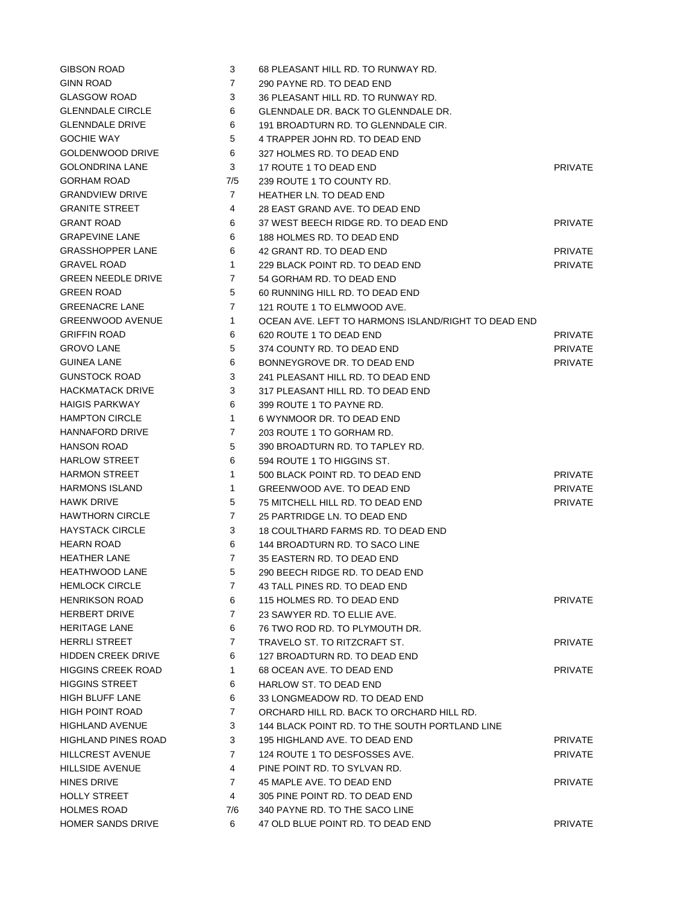| <b>GIBSON ROAD</b>         | 3              | 68 PLEASANT HILL RD. TO RUNWAY RD.                  |                |
|----------------------------|----------------|-----------------------------------------------------|----------------|
| <b>GINN ROAD</b>           | 7              | 290 PAYNE RD. TO DEAD END                           |                |
| <b>GLASGOW ROAD</b>        | 3              | 36 PLEASANT HILL RD. TO RUNWAY RD.                  |                |
| <b>GLENNDALE CIRCLE</b>    | 6              | <b>GLENNDALE DR. BACK TO GLENNDALE DR.</b>          |                |
| <b>GLENNDALE DRIVE</b>     | 6              | 191 BROADTURN RD. TO GLENNDALE CIR.                 |                |
| <b>GOCHIE WAY</b>          | 5              | 4 TRAPPER JOHN RD. TO DEAD END                      |                |
| GOLDENWOOD DRIVE           | 6              | 327 HOLMES RD. TO DEAD END                          |                |
| <b>GOLONDRINA LANE</b>     | 3              | 17 ROUTE 1 TO DEAD END                              | <b>PRIVATE</b> |
| <b>GORHAM ROAD</b>         | 7/5            | 239 ROUTE 1 TO COUNTY RD.                           |                |
| <b>GRANDVIEW DRIVE</b>     | 7              | <b>HEATHER LN. TO DEAD END</b>                      |                |
| <b>GRANITE STREET</b>      | 4              | 28 EAST GRAND AVE. TO DEAD END                      |                |
| <b>GRANT ROAD</b>          | 6              | 37 WEST BEECH RIDGE RD. TO DEAD END                 | <b>PRIVATE</b> |
| <b>GRAPEVINE LANE</b>      | 6              | 188 HOLMES RD. TO DEAD END                          |                |
| <b>GRASSHOPPER LANE</b>    | 6              | 42 GRANT RD. TO DEAD END                            | <b>PRIVATE</b> |
| <b>GRAVEL ROAD</b>         | $\mathbf{1}$   | 229 BLACK POINT RD. TO DEAD END                     | <b>PRIVATE</b> |
| <b>GREEN NEEDLE DRIVE</b>  | $\overline{7}$ | 54 GORHAM RD. TO DEAD END                           |                |
| <b>GREEN ROAD</b>          | 5              | 60 RUNNING HILL RD. TO DEAD END                     |                |
| <b>GREENACRE LANE</b>      | $\overline{7}$ | 121 ROUTE 1 TO ELMWOOD AVE.                         |                |
| <b>GREENWOOD AVENUE</b>    | $\mathbf{1}$   | OCEAN AVE. LEFT TO HARMONS ISLAND/RIGHT TO DEAD END |                |
| <b>GRIFFIN ROAD</b>        | 6              | 620 ROUTE 1 TO DEAD END                             | <b>PRIVATE</b> |
| <b>GROVO LANE</b>          | 5              | 374 COUNTY RD. TO DEAD END                          | <b>PRIVATE</b> |
| <b>GUINEA LANE</b>         | 6              | BONNEYGROVE DR. TO DEAD END                         | <b>PRIVATE</b> |
| <b>GUNSTOCK ROAD</b>       | 3              | 241 PLEASANT HILL RD. TO DEAD END                   |                |
| <b>HACKMATACK DRIVE</b>    | 3              | 317 PLEASANT HILL RD. TO DEAD END                   |                |
| <b>HAIGIS PARKWAY</b>      | 6              | 399 ROUTE 1 TO PAYNE RD.                            |                |
| <b>HAMPTON CIRCLE</b>      | $\mathbf{1}$   | 6 WYNMOOR DR. TO DEAD END                           |                |
| HANNAFORD DRIVE            | 7              | 203 ROUTE 1 TO GORHAM RD.                           |                |
| <b>HANSON ROAD</b>         | 5              | 390 BROADTURN RD. TO TAPLEY RD.                     |                |
| <b>HARLOW STREET</b>       | 6              | 594 ROUTE 1 TO HIGGINS ST.                          |                |
| <b>HARMON STREET</b>       | $\mathbf{1}$   | 500 BLACK POINT RD. TO DEAD END                     | <b>PRIVATE</b> |
| <b>HARMONS ISLAND</b>      | $\mathbf{1}$   | GREENWOOD AVE. TO DEAD END                          | <b>PRIVATE</b> |
| <b>HAWK DRIVE</b>          | 5              | 75 MITCHELL HILL RD. TO DEAD END                    | <b>PRIVATE</b> |
| <b>HAWTHORN CIRCLE</b>     | 7              | 25 PARTRIDGE LN. TO DEAD END                        |                |
| <b>HAYSTACK CIRCLE</b>     | 3              | 18 COULTHARD FARMS RD. TO DEAD END                  |                |
| <b>HEARN ROAD</b>          | 6              | 144 BROADTURN RD. TO SACO LINE                      |                |
| <b>HEATHER LANE</b>        | $\overline{7}$ | 35 EASTERN RD. TO DEAD END                          |                |
| <b>HEATHWOOD LANE</b>      | 5              | 290 BEECH RIDGE RD. TO DEAD END                     |                |
| <b>HEMLOCK CIRCLE</b>      | 7              | 43 TALL PINES RD. TO DEAD END                       |                |
| <b>HENRIKSON ROAD</b>      | 6              | 115 HOLMES RD. TO DEAD END                          | <b>PRIVATE</b> |
| <b>HERBERT DRIVE</b>       | 7              | 23 SAWYER RD. TO ELLIE AVE.                         |                |
| <b>HERITAGE LANE</b>       | 6              | 76 TWO ROD RD. TO PLYMOUTH DR.                      |                |
| <b>HERRLI STREET</b>       | $\overline{7}$ | TRAVELO ST. TO RITZCRAFT ST.                        | <b>PRIVATE</b> |
| <b>HIDDEN CREEK DRIVE</b>  | 6              | 127 BROADTURN RD. TO DEAD END                       |                |
| <b>HIGGINS CREEK ROAD</b>  | 1              | 68 OCEAN AVE. TO DEAD END                           | <b>PRIVATE</b> |
| <b>HIGGINS STREET</b>      | 6              | HARLOW ST. TO DEAD END                              |                |
| <b>HIGH BLUFF LANE</b>     | 6              | 33 LONGMEADOW RD. TO DEAD END                       |                |
| HIGH POINT ROAD            | 7              | ORCHARD HILL RD. BACK TO ORCHARD HILL RD.           |                |
| <b>HIGHLAND AVENUE</b>     | 3              | 144 BLACK POINT RD. TO THE SOUTH PORTLAND LINE      |                |
| <b>HIGHLAND PINES ROAD</b> | 3              | 195 HIGHLAND AVE. TO DEAD END                       | <b>PRIVATE</b> |
| <b>HILLCREST AVENUE</b>    | 7              | 124 ROUTE 1 TO DESFOSSES AVE.                       | PRIVATE        |
| HILLSIDE AVENUE            | 4              | PINE POINT RD. TO SYLVAN RD.                        |                |
| HINES DRIVE                | 7              | 45 MAPLE AVE. TO DEAD END                           | <b>PRIVATE</b> |
| <b>HOLLY STREET</b>        | 4              | 305 PINE POINT RD. TO DEAD END                      |                |
| <b>HOLMES ROAD</b>         | 7/6            | 340 PAYNE RD. TO THE SACO LINE                      |                |
| HOMER SANDS DRIVE          | 6              | 47 OLD BLUE POINT RD. TO DEAD END                   | <b>PRIVATE</b> |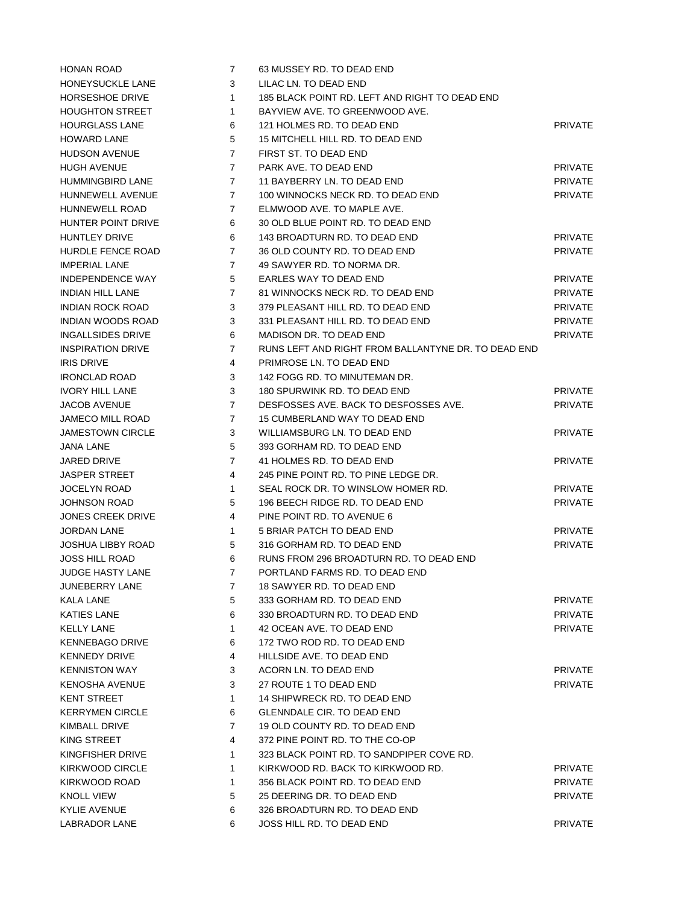| HONEYSUCKLE LANE         |
|--------------------------|
| <b>HORSESHOE DRIVE</b>   |
| <b>HOUGHTON STREET</b>   |
| <b>HOURGLASS LANE</b>    |
| <b>HOWARD LANE</b>       |
| <b>HUDSON AVENUE</b>     |
| <b>HUGH AVENUE</b>       |
| <b>HUMMINGBIRD LANE</b>  |
| <b>HUNNEWELL AVENUE</b>  |
| <b>HUNNEWELL ROAD</b>    |
|                          |
| HUNTER POINT DRIVE       |
| <b>HUNTLEY DRIVE</b>     |
| <b>HURDLE FENCE ROAD</b> |
| <b>IMPERIAL LANE</b>     |
| INDEPENDENCE WAY         |
| <b>INDIAN HILL LANE</b>  |
| INDIAN ROCK ROAD         |
| INDIAN WOODS ROAD        |
| <b>INGALLSIDES DRIVE</b> |
| <b>INSPIRATION DRIVE</b> |
| IRIS DRIVE               |
| <b>IRONCLAD ROAD</b>     |
| <b>IVORY HILL LANE</b>   |
| JACOB AVENUE             |
| JAMECO MILL ROAD         |
| <b>JAMESTOWN CIRCLE</b>  |
| <b>JANA LANE</b>         |
| JARED DRIVE              |
| <b>JASPER STREET</b>     |
| <b>JOCELYN ROAD</b>      |
| <b>JOHNSON ROAD</b>      |
| JONES CREEK DRIVE        |
|                          |
|                          |
| <b>JORDAN LANE</b>       |
| <b>JOSHUA LIBBY ROAD</b> |
| JOSS HILL ROAD           |
| <b>JUDGE HASTY LANE</b>  |
| JUNEBERRY LANE           |
| <b>KALA LANE</b>         |
| <b>KATIES LANE</b>       |
| <b>KELLY LANE</b>        |
| <b>KENNEBAGO DRIVE</b>   |
| <b>KENNEDY DRIVE</b>     |
| <b>KENNISTON WAY</b>     |
| KENOSHA AVENUE           |
| KENT STREET              |
| <b>KERRYMEN CIRCLE</b>   |
| KIMBALL DRIVE            |
| KING STREET              |
| KINGFISHER DRIVE         |
| KIRKWOOD CIRCLE          |
| KIRKWOOD ROAD            |
| <b>KNOLL VIEW</b>        |
| <b>KYLIE AVENUE</b>      |

| <b>HONAN ROAD</b>        | $\overline{7}$ | 63 MUSSEY RD. TO DEAD END                           |                |
|--------------------------|----------------|-----------------------------------------------------|----------------|
| HONEYSUCKLE LANE         | 3              | LILAC LN. TO DEAD END                               |                |
| <b>HORSESHOE DRIVE</b>   | $\mathbf{1}$   | 185 BLACK POINT RD. LEFT AND RIGHT TO DEAD END      |                |
| <b>HOUGHTON STREET</b>   | 1              | BAYVIEW AVE. TO GREENWOOD AVE.                      |                |
| <b>HOURGLASS LANE</b>    | 6              | 121 HOLMES RD. TO DEAD END                          | PRIVATE        |
| <b>HOWARD LANE</b>       | 5              | 15 MITCHELL HILL RD. TO DEAD END                    |                |
| <b>HUDSON AVENUE</b>     | 7              | FIRST ST. TO DEAD END                               |                |
| <b>HUGH AVENUE</b>       | $\overline{7}$ | PARK AVE. TO DEAD END                               | <b>PRIVATE</b> |
| HUMMINGBIRD LANE         | $7^{\circ}$    | 11 BAYBERRY LN. TO DEAD END                         | <b>PRIVATE</b> |
| HUNNEWELL AVENUE         | $7^{\circ}$    | 100 WINNOCKS NECK RD. TO DEAD END                   | <b>PRIVATE</b> |
| <b>HUNNEWELL ROAD</b>    | 7              | ELMWOOD AVE. TO MAPLE AVE.                          |                |
| HUNTER POINT DRIVE       | 6              | 30 OLD BLUE POINT RD. TO DEAD END                   |                |
| <b>HUNTLEY DRIVE</b>     | 6              | 143 BROADTURN RD. TO DEAD END                       | PRIVATE        |
| HURDLE FENCE ROAD        | 7              | 36 OLD COUNTY RD. TO DEAD END                       | <b>PRIVATE</b> |
| <b>IMPERIAL LANE</b>     | 7              | 49 SAWYER RD. TO NORMA DR.                          |                |
| <b>INDEPENDENCE WAY</b>  | 5              | EARLES WAY TO DEAD END                              | <b>PRIVATE</b> |
| <b>INDIAN HILL LANE</b>  | $\overline{7}$ | 81 WINNOCKS NECK RD. TO DEAD END                    | <b>PRIVATE</b> |
| <b>INDIAN ROCK ROAD</b>  | 3              | 379 PLEASANT HILL RD. TO DEAD END                   | <b>PRIVATE</b> |
| INDIAN WOODS ROAD        | 3              | 331 PLEASANT HILL RD. TO DEAD END                   | <b>PRIVATE</b> |
| INGALLSIDES DRIVE        | 6              | MADISON DR. TO DEAD END                             | <b>PRIVATE</b> |
| <b>INSPIRATION DRIVE</b> | $\overline{7}$ | RUNS LEFT AND RIGHT FROM BALLANTYNE DR. TO DEAD END |                |
| <b>IRIS DRIVE</b>        | 4              | PRIMROSE LN. TO DEAD END                            |                |
| <b>IRONCLAD ROAD</b>     | 3              | 142 FOGG RD. TO MINUTEMAN DR.                       |                |
| <b>IVORY HILL LANE</b>   | 3              | 180 SPURWINK RD. TO DEAD END                        | <b>PRIVATE</b> |
| <b>JACOB AVENUE</b>      | $\overline{7}$ | DESFOSSES AVE. BACK TO DESFOSSES AVE.               | <b>PRIVATE</b> |
| JAMECO MILL ROAD         | 7              | 15 CUMBERLAND WAY TO DEAD END                       |                |
| <b>JAMESTOWN CIRCLE</b>  | 3              | WILLIAMSBURG LN. TO DEAD END                        | <b>PRIVATE</b> |
| JANA LANE                | 5              | 393 GORHAM RD. TO DEAD END                          |                |
| JARED DRIVE              | $\overline{7}$ | 41 HOLMES RD. TO DEAD END                           | <b>PRIVATE</b> |
| <b>JASPER STREET</b>     | 4              | 245 PINE POINT RD. TO PINE LEDGE DR.                |                |
| <b>JOCELYN ROAD</b>      | $\mathbf{1}$   | SEAL ROCK DR. TO WINSLOW HOMER RD.                  | <b>PRIVATE</b> |
| JOHNSON ROAD             | 5              | 196 BEECH RIDGE RD. TO DEAD END                     | <b>PRIVATE</b> |
| <b>JONES CREEK DRIVE</b> | 4              | PINE POINT RD. TO AVENUE 6                          |                |
| <b>JORDAN LANE</b>       | $\mathbf{1}$   | 5 BRIAR PATCH TO DEAD END                           | <b>PRIVATE</b> |
| <b>JOSHUA LIBBY ROAD</b> | 5              | 316 GORHAM RD. TO DEAD END                          | <b>PRIVATE</b> |
| <b>JOSS HILL ROAD</b>    | 6              | RUNS FROM 296 BROADTURN RD. TO DEAD END             |                |
| JUDGE HASTY LANE         | 7 <sup>7</sup> | PORTLAND FARMS RD. TO DEAD END                      |                |
| <b>JUNEBERRY LANE</b>    | 7              | 18 SAWYER RD. TO DEAD END                           |                |
| KALA LANE                | 5              | 333 GORHAM RD. TO DEAD END                          | <b>PRIVATE</b> |
| KATIES LANE              | 6              | 330 BROADTURN RD. TO DEAD END                       | PRIVATE        |
| <b>KELLY LANE</b>        | $\mathbf{1}$   | 42 OCEAN AVE. TO DEAD END                           | <b>PRIVATE</b> |
| <b>KENNEBAGO DRIVE</b>   | 6              | 172 TWO ROD RD. TO DEAD END                         |                |
| <b>KENNEDY DRIVE</b>     | 4              | HILLSIDE AVE, TO DEAD END                           |                |
| <b>KENNISTON WAY</b>     | 3              | ACORN LN. TO DEAD END                               | <b>PRIVATE</b> |
| KENOSHA AVENUE           | 3              | 27 ROUTE 1 TO DEAD END                              | <b>PRIVATE</b> |
| <b>KENT STREET</b>       | $\mathbf{1}$   | 14 SHIPWRECK RD. TO DEAD END                        |                |
| <b>KERRYMEN CIRCLE</b>   | 6              | <b>GLENNDALE CIR. TO DEAD END</b>                   |                |
| KIMBALL DRIVE            | 7              | 19 OLD COUNTY RD. TO DEAD END                       |                |
| KING STREET              | 4              | 372 PINE POINT RD. TO THE CO-OP                     |                |
| KINGFISHER DRIVE         | $\mathbf{1}$   | 323 BLACK POINT RD. TO SANDPIPER COVE RD.           |                |
| KIRKWOOD CIRCLE          | $\mathbf{1}$   | KIRKWOOD RD. BACK TO KIRKWOOD RD.                   | <b>PRIVATE</b> |
| KIRKWOOD ROAD            | 1              | 356 BLACK POINT RD. TO DEAD END                     | PRIVATE        |
| <b>KNOLL VIEW</b>        | 5              | 25 DEERING DR. TO DEAD END                          | <b>PRIVATE</b> |
| KYLIE AVENUE             | 6              | 326 BROADTURN RD. TO DEAD END                       |                |
| <b>LABRADOR LANE</b>     | 6              | JOSS HILL RD. TO DEAD END                           | <b>PRIVATE</b> |
|                          |                |                                                     |                |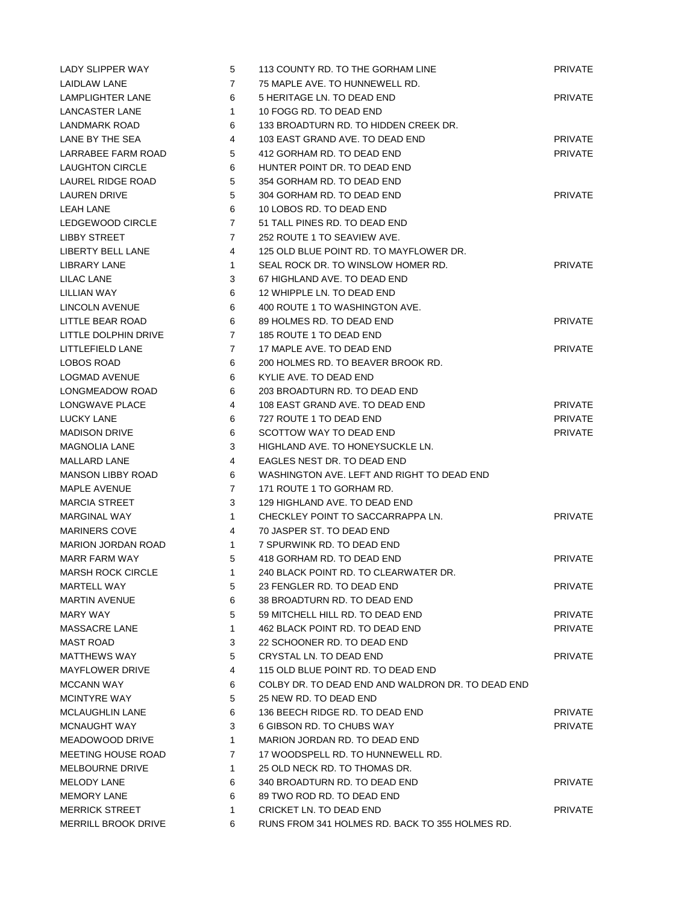| LADY SLIPPER WAY          | 5              | 113 COUNTY RD. TO THE GORHAM LINE                 | <b>PRIVATE</b> |
|---------------------------|----------------|---------------------------------------------------|----------------|
| LAIDLAW LANE              | $\overline{7}$ | 75 MAPLE AVE. TO HUNNEWELL RD.                    |                |
| LAMPLIGHTER LANE          | 6              | 5 HERITAGE LN. TO DEAD END                        | <b>PRIVATE</b> |
| LANCASTER LANE            | $\mathbf{1}$   | 10 FOGG RD. TO DEAD END                           |                |
| LANDMARK ROAD             | 6              | 133 BROADTURN RD. TO HIDDEN CREEK DR.             |                |
| LANE BY THE SEA           | 4              | 103 EAST GRAND AVE. TO DEAD END                   | <b>PRIVATE</b> |
| LARRABEE FARM ROAD        | 5              | 412 GORHAM RD. TO DEAD END                        | <b>PRIVATE</b> |
| <b>LAUGHTON CIRCLE</b>    | 6              | HUNTER POINT DR. TO DEAD END                      |                |
| LAUREL RIDGE ROAD         | 5              | 354 GORHAM RD. TO DEAD END                        |                |
| LAUREN DRIVE              | 5              | 304 GORHAM RD. TO DEAD END                        | <b>PRIVATE</b> |
| <b>LEAH LANE</b>          | 6              | 10 LOBOS RD. TO DEAD END                          |                |
| LEDGEWOOD CIRCLE          | $\overline{7}$ | 51 TALL PINES RD. TO DEAD END                     |                |
| <b>LIBBY STREET</b>       | $\overline{7}$ | 252 ROUTE 1 TO SEAVIEW AVE.                       |                |
| LIBERTY BELL LANE         | 4              | 125 OLD BLUE POINT RD. TO MAYFLOWER DR.           |                |
| LIBRARY LANE              | $\mathbf{1}$   | SEAL ROCK DR. TO WINSLOW HOMER RD.                | <b>PRIVATE</b> |
| LILAC LANE                | 3              | 67 HIGHLAND AVE. TO DEAD END                      |                |
| LILLIAN WAY               | 6              | 12 WHIPPLE LN. TO DEAD END                        |                |
| LINCOLN AVENUE            | 6              | 400 ROUTE 1 TO WASHINGTON AVE.                    |                |
| LITTLE BEAR ROAD          | 6              | 89 HOLMES RD. TO DEAD END                         | <b>PRIVATE</b> |
| LITTLE DOLPHIN DRIVE      | $\overline{7}$ | 185 ROUTE 1 TO DEAD END                           |                |
| LITTLEFIELD LANE          | $\overline{7}$ | 17 MAPLE AVE. TO DEAD END                         | <b>PRIVATE</b> |
| LOBOS ROAD                | 6              | 200 HOLMES RD. TO BEAVER BROOK RD.                |                |
| LOGMAD AVENUE             | 6              | KYLIE AVE. TO DEAD END                            |                |
| LONGMEADOW ROAD           | 6              | 203 BROADTURN RD. TO DEAD END                     |                |
| LONGWAVE PLACE            | 4              | 108 EAST GRAND AVE. TO DEAD END                   | <b>PRIVATE</b> |
| LUCKY LANE                | 6              | 727 ROUTE 1 TO DEAD END                           | PRIVATE        |
| <b>MADISON DRIVE</b>      | 6              | SCOTTOW WAY TO DEAD END                           | <b>PRIVATE</b> |
| <b>MAGNOLIA LANE</b>      | 3              | HIGHLAND AVE. TO HONEYSUCKLE LN.                  |                |
| <b>MALLARD LANE</b>       | 4              | EAGLES NEST DR. TO DEAD END                       |                |
| <b>MANSON LIBBY ROAD</b>  | 6              | WASHINGTON AVE. LEFT AND RIGHT TO DEAD END        |                |
| MAPLE AVENUE              | $\mathbf{7}$   | 171 ROUTE 1 TO GORHAM RD.                         |                |
| <b>MARCIA STREET</b>      | 3              | 129 HIGHLAND AVE. TO DEAD END                     |                |
| MARGINAL WAY              | $\mathbf{1}$   | CHECKLEY POINT TO SACCARRAPPA LN.                 | <b>PRIVATE</b> |
| <b>MARINERS COVE</b>      | 4              | 70 JASPER ST. TO DEAD END                         |                |
| <b>MARION JORDAN ROAD</b> | $\mathbf{1}$   | 7 SPURWINK RD. TO DEAD END                        |                |
| <b>MARR FARM WAY</b>      | 5              | 418 GORHAM RD. TO DEAD END                        | <b>PRIVATE</b> |
| MARSH ROCK CIRCLE         | $\mathbf{1}$   | 240 BLACK POINT RD. TO CLEARWATER DR.             |                |
| MARTELL WAY               | 5              | 23 FENGLER RD. TO DEAD END                        | <b>PRIVATE</b> |
| <b>MARTIN AVENUE</b>      | 6              | 38 BROADTURN RD. TO DEAD END                      |                |
| MARY WAY                  | 5              | 59 MITCHELL HILL RD. TO DEAD END                  | <b>PRIVATE</b> |
| MASSACRE LANE             | $\mathbf{1}$   | 462 BLACK POINT RD. TO DEAD END                   | <b>PRIVATE</b> |
| <b>MAST ROAD</b>          | 3              | 22 SCHOONER RD. TO DEAD END                       |                |
| <b>MATTHEWS WAY</b>       | 5              | CRYSTAL LN. TO DEAD END                           | <b>PRIVATE</b> |
| <b>MAYFLOWER DRIVE</b>    | 4              | 115 OLD BLUE POINT RD. TO DEAD END                |                |
| <b>MCCANN WAY</b>         | 6              | COLBY DR. TO DEAD END AND WALDRON DR. TO DEAD END |                |
| <b>MCINTYRE WAY</b>       | 5              | 25 NEW RD. TO DEAD END                            |                |
| <b>MCLAUGHLIN LANE</b>    | 6              | 136 BEECH RIDGE RD. TO DEAD END                   | <b>PRIVATE</b> |
| <b>MCNAUGHT WAY</b>       | 3              | 6 GIBSON RD. TO CHUBS WAY                         | <b>PRIVATE</b> |
| MEADOWOOD DRIVE           | $\mathbf{1}$   | MARION JORDAN RD. TO DEAD END                     |                |
| MEETING HOUSE ROAD        | 7              | 17 WOODSPELL RD. TO HUNNEWELL RD.                 |                |
| <b>MELBOURNE DRIVE</b>    | $\mathbf{1}$   | 25 OLD NECK RD. TO THOMAS DR.                     |                |
| MELODY LANE               | 6              | 340 BROADTURN RD. TO DEAD END                     | <b>PRIVATE</b> |
| <b>MEMORY LANE</b>        | 6              | 89 TWO ROD RD. TO DEAD END                        |                |
| <b>MERRICK STREET</b>     | 1              | CRICKET LN. TO DEAD END                           | <b>PRIVATE</b> |
| MERRILL BROOK DRIVE       | 6              | RUNS FROM 341 HOLMES RD. BACK TO 355 HOLMES RD.   |                |
|                           |                |                                                   |                |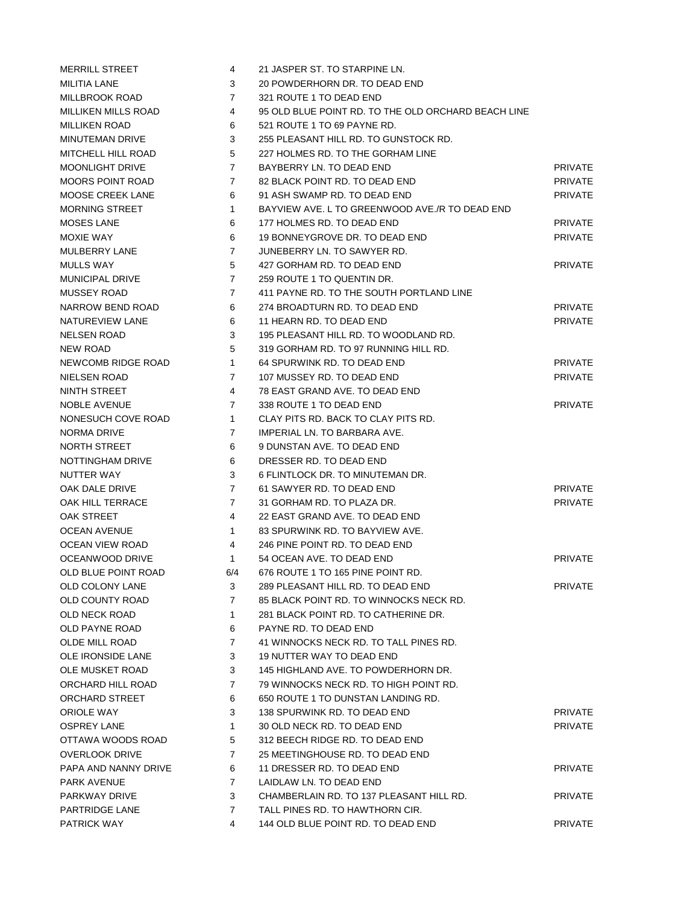| MERRILL STREET        | 4              | 21 JASPER ST. TO STARPINE LN.                       |                |
|-----------------------|----------------|-----------------------------------------------------|----------------|
| MILITIA LANE          | 3              | 20 POWDERHORN DR. TO DEAD END                       |                |
| MILLBROOK ROAD        | $\overline{7}$ | 321 ROUTE 1 TO DEAD END                             |                |
| MILLIKEN MILLS ROAD   | 4              | 95 OLD BLUE POINT RD. TO THE OLD ORCHARD BEACH LINE |                |
| MILLIKEN ROAD         | 6              | 521 ROUTE 1 TO 69 PAYNE RD.                         |                |
| MINUTEMAN DRIVE       | 3              | 255 PLEASANT HILL RD. TO GUNSTOCK RD.               |                |
| MITCHELL HILL ROAD    | 5              | 227 HOLMES RD. TO THE GORHAM LINE                   |                |
| MOONLIGHT DRIVE       | $\overline{7}$ | BAYBERRY LN. TO DEAD END                            | <b>PRIVATE</b> |
| MOORS POINT ROAD      | $\overline{7}$ | 82 BLACK POINT RD. TO DEAD END                      | <b>PRIVATE</b> |
| MOOSE CREEK LANE      | 6              | 91 ASH SWAMP RD. TO DEAD END                        | <b>PRIVATE</b> |
| <b>MORNING STREET</b> | $\mathbf{1}$   | BAYVIEW AVE. L TO GREENWOOD AVE./R TO DEAD END      |                |
| MOSES LANE            | 6              | 177 HOLMES RD. TO DEAD END                          | <b>PRIVATE</b> |
| MOXIE WAY             | 6              | 19 BONNEYGROVE DR. TO DEAD END                      | <b>PRIVATE</b> |
| MULBERRY LANE         | $\overline{7}$ | JUNEBERRY LN. TO SAWYER RD.                         |                |
| MULLS WAY             | 5              | 427 GORHAM RD. TO DEAD END                          | <b>PRIVATE</b> |
| MUNICIPAL DRIVE       | $\overline{7}$ | 259 ROUTE 1 TO QUENTIN DR.                          |                |
| MUSSEY ROAD           | $\overline{7}$ | 411 PAYNE RD. TO THE SOUTH PORTLAND LINE            |                |
| NARROW BEND ROAD      | 6              | 274 BROADTURN RD. TO DEAD END                       | <b>PRIVATE</b> |
| NATUREVIEW LANE       | 6              | 11 HEARN RD. TO DEAD END                            | <b>PRIVATE</b> |
| NELSEN ROAD           | 3              | 195 PLEASANT HILL RD. TO WOODLAND RD.               |                |
| NEW ROAD              | 5              | 319 GORHAM RD. TO 97 RUNNING HILL RD.               |                |
| NEWCOMB RIDGE ROAD    | $\mathbf{1}$   | 64 SPURWINK RD. TO DEAD END                         | <b>PRIVATE</b> |
| NIELSEN ROAD          | 7              | 107 MUSSEY RD. TO DEAD END                          | <b>PRIVATE</b> |
| NINTH STREET          | 4              | 78 EAST GRAND AVE. TO DEAD END                      |                |
| NOBLE AVENUE          | 7              | 338 ROUTE 1 TO DEAD END                             | <b>PRIVATE</b> |
| NONESUCH COVE ROAD    | 1.             | CLAY PITS RD. BACK TO CLAY PITS RD.                 |                |
| NORMA DRIVE           | 7              | IMPERIAL LN. TO BARBARA AVE.                        |                |
| NORTH STREET          | 6              | 9 DUNSTAN AVE. TO DEAD END                          |                |
| NOTTINGHAM DRIVE      | 6              | DRESSER RD. TO DEAD END                             |                |
| NUTTER WAY            | 3              | 6 FLINTLOCK DR. TO MINUTEMAN DR.                    |                |
| OAK DALE DRIVE        | $\overline{7}$ | 61 SAWYER RD. TO DEAD END                           | <b>PRIVATE</b> |
| OAK HILL TERRACE      | $\overline{7}$ | 31 GORHAM RD. TO PLAZA DR.                          | <b>PRIVATE</b> |
| OAK STREET            | 4              | 22 EAST GRAND AVE. TO DEAD END                      |                |
| OCEAN AVENUE          | $\mathbf{1}$   | 83 SPURWINK RD. TO BAYVIEW AVE.                     |                |
| OCEAN VIEW ROAD       | 4              | 246 PINE POINT RD. TO DEAD END                      |                |
| OCEANWOOD DRIVE       | $\mathbf{1}$   | 54 OCEAN AVE. TO DEAD END                           | <b>PRIVATE</b> |
| OLD BLUE POINT ROAD   | 6/4            | 676 ROUTE 1 TO 165 PINE POINT RD.                   |                |
| OLD COLONY LANE       | 3              | 289 PLEASANT HILL RD. TO DEAD END                   | <b>PRIVATE</b> |
| OLD COUNTY ROAD       | $\overline{7}$ | 85 BLACK POINT RD. TO WINNOCKS NECK RD.             |                |
| OLD NECK ROAD         | $\mathbf{1}$   | 281 BLACK POINT RD. TO CATHERINE DR.                |                |
| OLD PAYNE ROAD        | 6              | PAYNE RD. TO DEAD END                               |                |
| OLDE MILL ROAD        | $\overline{7}$ | 41 WINNOCKS NECK RD. TO TALL PINES RD.              |                |
| OLE IRONSIDE LANE     | 3              | <b>19 NUTTER WAY TO DEAD END</b>                    |                |
| OLE MUSKET ROAD       | 3              | 145 HIGHLAND AVE. TO POWDERHORN DR.                 |                |
| ORCHARD HILL ROAD     | $\overline{7}$ | 79 WINNOCKS NECK RD. TO HIGH POINT RD.              |                |
| ORCHARD STREET        | 6              | 650 ROUTE 1 TO DUNSTAN LANDING RD.                  |                |
| ORIOLE WAY            | 3              | 138 SPURWINK RD. TO DEAD END                        | <b>PRIVATE</b> |
| OSPREY LANE           | $\mathbf{1}$   | 30 OLD NECK RD. TO DEAD END                         | <b>PRIVATE</b> |
| OTTAWA WOODS ROAD     | 5              | 312 BEECH RIDGE RD. TO DEAD END                     |                |
| OVERLOOK DRIVE        | $\overline{7}$ | 25 MEETINGHOUSE RD. TO DEAD END                     |                |
| PAPA AND NANNY DRIVE  | 6              | 11 DRESSER RD. TO DEAD END                          | <b>PRIVATE</b> |
| PARK AVENUE           | $\overline{7}$ | LAIDLAW LN. TO DEAD END                             |                |
| PARKWAY DRIVE         | 3              | CHAMBERLAIN RD. TO 137 PLEASANT HILL RD.            | <b>PRIVATE</b> |
| PARTRIDGE LANE        | 7              | TALL PINES RD. TO HAWTHORN CIR.                     |                |
| PATRICK WAY           | 4              | 144 OLD BLUE POINT RD. TO DEAD END                  | <b>PRIVATE</b> |
|                       |                |                                                     |                |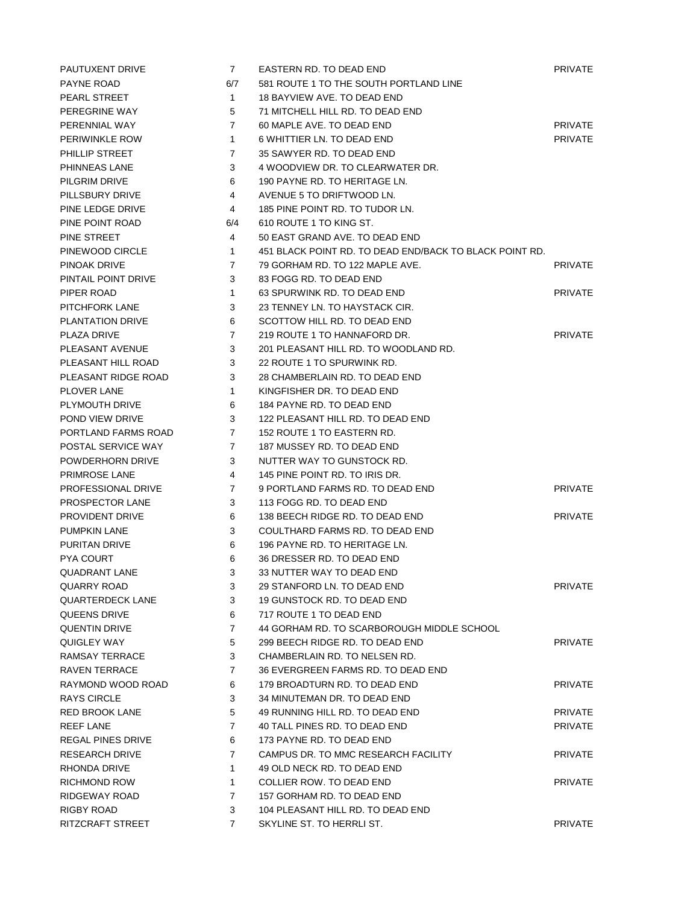| PAUTUXENT DRIVE      | $\overline{7}$ | EASTERN RD. TO DEAD END                                 | <b>PRIVATE</b> |
|----------------------|----------------|---------------------------------------------------------|----------------|
| PAYNE ROAD           | 6/7            | 581 ROUTE 1 TO THE SOUTH PORTLAND LINE                  |                |
| PEARL STREET         | $\mathbf{1}$   | 18 BAYVIEW AVE. TO DEAD END                             |                |
| PEREGRINE WAY        | 5              | 71 MITCHELL HILL RD. TO DEAD END                        |                |
| PERENNIAL WAY        | $\overline{7}$ | 60 MAPLE AVE. TO DEAD END                               | <b>PRIVATE</b> |
| PERIWINKLE ROW       | $\mathbf{1}$   | 6 WHITTIER LN. TO DEAD END                              | <b>PRIVATE</b> |
| PHILLIP STREET       | $\overline{7}$ | 35 SAWYER RD. TO DEAD END                               |                |
| PHINNEAS LANE        | 3              | 4 WOODVIEW DR. TO CLEARWATER DR.                        |                |
| PILGRIM DRIVE        | 6              | 190 PAYNE RD. TO HERITAGE LN.                           |                |
| PILLSBURY DRIVE      | 4              | AVENUE 5 TO DRIFTWOOD LN.                               |                |
| PINE LEDGE DRIVE     | 4              | 185 PINE POINT RD. TO TUDOR LN.                         |                |
| PINE POINT ROAD      | 6/4            | 610 ROUTE 1 TO KING ST.                                 |                |
| PINE STREET          | 4              | 50 EAST GRAND AVE. TO DEAD END                          |                |
| PINEWOOD CIRCLE      | $\mathbf{1}$   | 451 BLACK POINT RD. TO DEAD END/BACK TO BLACK POINT RD. |                |
| PINOAK DRIVE         | 7              | 79 GORHAM RD. TO 122 MAPLE AVE.                         | <b>PRIVATE</b> |
| PINTAIL POINT DRIVE  | 3              | 83 FOGG RD. TO DEAD END                                 |                |
| PIPER ROAD           | $\mathbf{1}$   | 63 SPURWINK RD. TO DEAD END                             | <b>PRIVATE</b> |
| PITCHFORK LANE       | 3              | 23 TENNEY LN. TO HAYSTACK CIR.                          |                |
| PLANTATION DRIVE     | 6              | SCOTTOW HILL RD. TO DEAD END                            |                |
| PLAZA DRIVE          | $\overline{7}$ | 219 ROUTE 1 TO HANNAFORD DR.                            | <b>PRIVATE</b> |
| PLEASANT AVENUE      | 3              | 201 PLEASANT HILL RD. TO WOODLAND RD.                   |                |
| PLEASANT HILL ROAD   | 3              | 22 ROUTE 1 TO SPURWINK RD.                              |                |
| PLEASANT RIDGE ROAD  | 3              | 28 CHAMBERLAIN RD. TO DEAD END                          |                |
| PLOVER LANE          | $\mathbf{1}$   | KINGFISHER DR. TO DEAD END                              |                |
| PLYMOUTH DRIVE       | 6              | 184 PAYNE RD. TO DEAD END                               |                |
| POND VIEW DRIVE      | 3              | 122 PLEASANT HILL RD. TO DEAD END                       |                |
| PORTLAND FARMS ROAD  | $\overline{7}$ | 152 ROUTE 1 TO EASTERN RD.                              |                |
| POSTAL SERVICE WAY   | 7              | 187 MUSSEY RD. TO DEAD END                              |                |
| POWDERHORN DRIVE     | 3              | NUTTER WAY TO GUNSTOCK RD.                              |                |
| PRIMROSE LANE        | 4              | 145 PINE POINT RD. TO IRIS DR.                          |                |
| PROFESSIONAL DRIVE   | 7              | 9 PORTLAND FARMS RD. TO DEAD END                        | <b>PRIVATE</b> |
| PROSPECTOR LANE      | 3              | 113 FOGG RD. TO DEAD END                                |                |
| PROVIDENT DRIVE      | 6              | 138 BEECH RIDGE RD. TO DEAD END                         | <b>PRIVATE</b> |
| PUMPKIN LANE         | 3              | COULTHARD FARMS RD. TO DEAD END                         |                |
| PURITAN DRIVE        | 6              | 196 PAYNE RD. TO HERITAGE LN.                           |                |
| PYA COURT            | 6              | 36 DRESSER RD. TO DEAD END                              |                |
| QUADRANT LANE        | 3              | 33 NUTTER WAY TO DEAD END                               |                |
| QUARRY ROAD          | 3              | 29 STANFORD LN. TO DEAD END                             | <b>PRIVATE</b> |
| QUARTERDECK LANE     | 3              | 19 GUNSTOCK RD. TO DEAD END                             |                |
| QUEENS DRIVE         | 6              | 717 ROUTE 1 TO DEAD END                                 |                |
| QUENTIN DRIVE        | $\overline{7}$ | 44 GORHAM RD. TO SCARBOROUGH MIDDLE SCHOOL              |                |
| QUIGLEY WAY          | 5              | 299 BEECH RIDGE RD. TO DEAD END                         | <b>PRIVATE</b> |
| RAMSAY TERRACE       | 3              | CHAMBERLAIN RD. TO NELSEN RD.                           |                |
| <b>RAVEN TERRACE</b> | $\overline{7}$ | 36 EVERGREEN FARMS RD. TO DEAD END                      |                |
| RAYMOND WOOD ROAD    | 6              | 179 BROADTURN RD. TO DEAD END                           | <b>PRIVATE</b> |
| RAYS CIRCLE          | 3              | 34 MINUTEMAN DR. TO DEAD END                            |                |
| RED BROOK LANE       | 5              | 49 RUNNING HILL RD. TO DEAD END                         | <b>PRIVATE</b> |
| REEF LANE            | $\overline{7}$ | 40 TALL PINES RD. TO DEAD END                           | <b>PRIVATE</b> |
| REGAL PINES DRIVE    | 6              | 173 PAYNE RD. TO DEAD END                               |                |
| RESEARCH DRIVE       | $\overline{7}$ | CAMPUS DR. TO MMC RESEARCH FACILITY                     | <b>PRIVATE</b> |
| RHONDA DRIVE         | $\mathbf{1}$   | 49 OLD NECK RD. TO DEAD END                             |                |
| RICHMOND ROW         | $\mathbf{1}$   | <b>COLLIER ROW. TO DEAD END</b>                         | <b>PRIVATE</b> |
| RIDGEWAY ROAD        | $\overline{7}$ | 157 GORHAM RD. TO DEAD END                              |                |
| RIGBY ROAD           | 3              | 104 PLEASANT HILL RD. TO DEAD END                       |                |
| RITZCRAFT STREET     | $\overline{7}$ | SKYLINE ST. TO HERRLI ST.                               | PRIVATE        |
|                      |                |                                                         |                |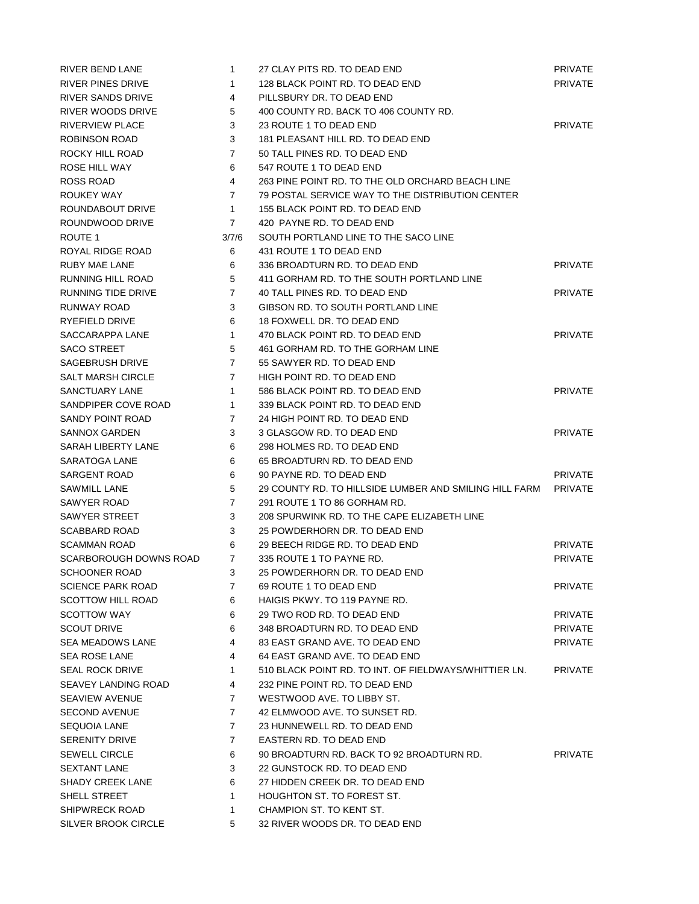| <b>RIVER BEND LANE</b>   | $\mathbf{1}$   | 27 CLAY PITS RD. TO DEAD END                           | <b>PRIVATE</b> |
|--------------------------|----------------|--------------------------------------------------------|----------------|
| <b>RIVER PINES DRIVE</b> | 1              | 128 BLACK POINT RD. TO DEAD END                        | <b>PRIVATE</b> |
| RIVER SANDS DRIVE        | 4              | PILLSBURY DR. TO DEAD END                              |                |
| RIVER WOODS DRIVE        | 5              | 400 COUNTY RD. BACK TO 406 COUNTY RD.                  |                |
| <b>RIVERVIEW PLACE</b>   | 3              | 23 ROUTE 1 TO DEAD END                                 | <b>PRIVATE</b> |
| ROBINSON ROAD            | 3              | 181 PLEASANT HILL RD. TO DEAD END                      |                |
| ROCKY HILL ROAD          | $\overline{7}$ | 50 TALL PINES RD. TO DEAD END                          |                |
| ROSE HILL WAY            | 6              | 547 ROUTE 1 TO DEAD END                                |                |
| ROSS ROAD                | 4              | 263 PINE POINT RD. TO THE OLD ORCHARD BEACH LINE       |                |
| ROUKEY WAY               | $\overline{7}$ | 79 POSTAL SERVICE WAY TO THE DISTRIBUTION CENTER       |                |
| ROUNDABOUT DRIVE         | $\mathbf{1}$   | 155 BLACK POINT RD. TO DEAD END                        |                |
| ROUNDWOOD DRIVE          | $\overline{7}$ | 420 PAYNE RD. TO DEAD END                              |                |
| ROUTE 1                  | 3/7/6          | SOUTH PORTLAND LINE TO THE SACO LINE                   |                |
| ROYAL RIDGE ROAD         | 6              | 431 ROUTE 1 TO DEAD END                                |                |
| RUBY MAE LANE            | 6              | 336 BROADTURN RD. TO DEAD END                          | <b>PRIVATE</b> |
| RUNNING HILL ROAD        | 5              | 411 GORHAM RD. TO THE SOUTH PORTLAND LINE              |                |
| RUNNING TIDE DRIVE       | $\overline{7}$ | 40 TALL PINES RD. TO DEAD END                          | <b>PRIVATE</b> |
| RUNWAY ROAD              | 3              | GIBSON RD. TO SOUTH PORTLAND LINE                      |                |
| RYEFIELD DRIVE           | 6              | 18 FOXWELL DR. TO DEAD END                             |                |
| SACCARAPPA LANE          | $\mathbf{1}$   | 470 BLACK POINT RD. TO DEAD END                        | <b>PRIVATE</b> |
| <b>SACO STREET</b>       | 5              | 461 GORHAM RD. TO THE GORHAM LINE                      |                |
| <b>SAGEBRUSH DRIVE</b>   | $\overline{7}$ | 55 SAWYER RD. TO DEAD END                              |                |
| <b>SALT MARSH CIRCLE</b> | 7              | HIGH POINT RD. TO DEAD END                             |                |
| <b>SANCTUARY LANE</b>    | 1              | 586 BLACK POINT RD. TO DEAD END                        | <b>PRIVATE</b> |
| SANDPIPER COVE ROAD      | $\mathbf{1}$   | 339 BLACK POINT RD. TO DEAD END                        |                |
| SANDY POINT ROAD         | 7              | 24 HIGH POINT RD. TO DEAD END                          |                |
| <b>SANNOX GARDEN</b>     | 3              | 3 GLASGOW RD. TO DEAD END                              | <b>PRIVATE</b> |
| SARAH LIBERTY LANE       | 6              | 298 HOLMES RD. TO DEAD END                             |                |
| SARATOGA LANE            | 6              | 65 BROADTURN RD. TO DEAD END                           |                |
| SARGENT ROAD             | 6              | 90 PAYNE RD. TO DEAD END                               | <b>PRIVATE</b> |
| SAWMILL LANE             | 5              | 29 COUNTY RD. TO HILLSIDE LUMBER AND SMILING HILL FARM | <b>PRIVATE</b> |
| SAWYER ROAD              | $\overline{7}$ | 291 ROUTE 1 TO 86 GORHAM RD.                           |                |
| <b>SAWYER STREET</b>     | 3              | 208 SPURWINK RD. TO THE CAPE ELIZABETH LINE            |                |
| <b>SCABBARD ROAD</b>     | 3              | 25 POWDERHORN DR. TO DEAD END                          |                |
| <b>SCAMMAN ROAD</b>      | 6              | 29 BEECH RIDGE RD. TO DEAD END                         | <b>PRIVATE</b> |
| SCARBOROUGH DOWNS ROAD   | $\overline{7}$ | 335 ROUTE 1 TO PAYNE RD.                               | <b>PRIVATE</b> |
| <b>SCHOONER ROAD</b>     | 3              | 25 POWDERHORN DR. TO DEAD END                          |                |
| <b>SCIENCE PARK ROAD</b> | $\mathbf{7}$   | 69 ROUTE 1 TO DEAD END                                 | <b>PRIVATE</b> |
| <b>SCOTTOW HILL ROAD</b> | 6              | HAIGIS PKWY, TO 119 PAYNE RD.                          |                |
| <b>SCOTTOW WAY</b>       | 6              | 29 TWO ROD RD. TO DEAD END                             | <b>PRIVATE</b> |
| <b>SCOUT DRIVE</b>       | 6              | 348 BROADTURN RD. TO DEAD END                          | <b>PRIVATE</b> |
| SEA MEADOWS LANE         | 4              | 83 EAST GRAND AVE. TO DEAD END                         | <b>PRIVATE</b> |
| <b>SEA ROSE LANE</b>     | 4              | 64 EAST GRAND AVE. TO DEAD END                         |                |
|                          |                | 510 BLACK POINT RD. TO INT. OF FIELDWAYS/WHITTIER LN.  | <b>PRIVATE</b> |
| <b>SEAL ROCK DRIVE</b>   | $\mathbf{1}$   |                                                        |                |
| SEAVEY LANDING ROAD      | 4              | 232 PINE POINT RD. TO DEAD END                         |                |
| SEAVIEW AVENUE           | 7              | WESTWOOD AVE. TO LIBBY ST.                             |                |
| <b>SECOND AVENUE</b>     | $\mathbf{7}$   | 42 ELMWOOD AVE. TO SUNSET RD.                          |                |
| <b>SEQUOIA LANE</b>      | $\mathbf{7}$   | 23 HUNNEWELL RD. TO DEAD END                           |                |
| <b>SERENITY DRIVE</b>    | $\overline{7}$ | EASTERN RD. TO DEAD END                                |                |
| <b>SEWELL CIRCLE</b>     | 6              | 90 BROADTURN RD. BACK TO 92 BROADTURN RD.              | <b>PRIVATE</b> |
| <b>SEXTANT LANE</b>      | 3              | 22 GUNSTOCK RD. TO DEAD END                            |                |
| <b>SHADY CREEK LANE</b>  | 6              | 27 HIDDEN CREEK DR. TO DEAD END                        |                |
| SHELL STREET             | $\mathbf{1}$   | <b>HOUGHTON ST. TO FOREST ST.</b>                      |                |
| SHIPWRECK ROAD           | 1              | CHAMPION ST. TO KENT ST.                               |                |
| SILVER BROOK CIRCLE      | 5              | 32 RIVER WOODS DR. TO DEAD END                         |                |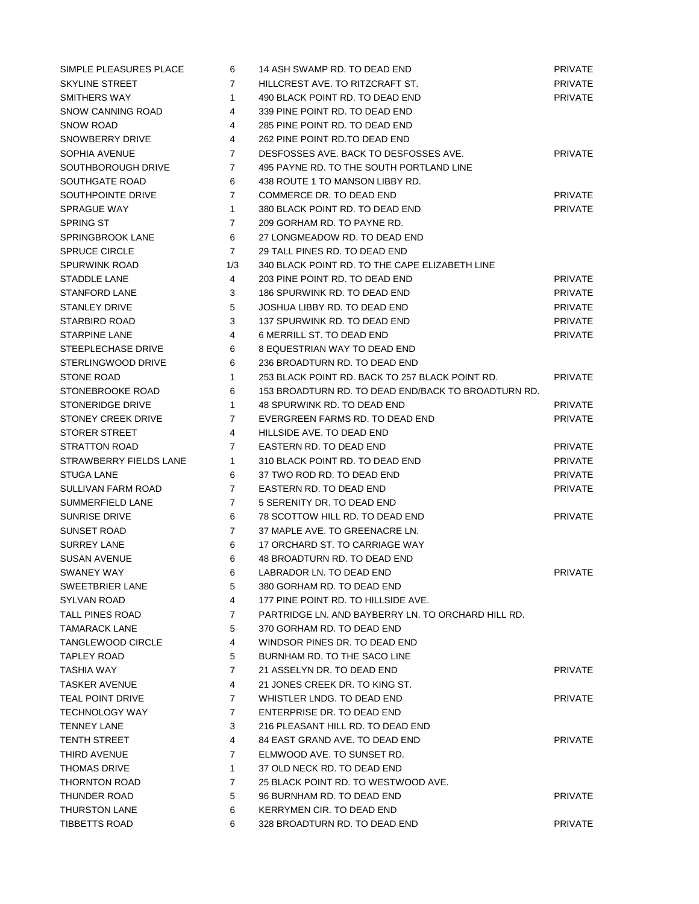| SIMPLE PLEASURES PLACE    | 6              | 14 ASH SWAMP RD. TO DEAD END                        | <b>PRIVATE</b> |
|---------------------------|----------------|-----------------------------------------------------|----------------|
| <b>SKYLINE STREET</b>     | 7              | HILLCREST AVE. TO RITZCRAFT ST.                     | PRIVATE        |
| SMITHERS WAY              | $\mathbf{1}$   | 490 BLACK POINT RD. TO DEAD END                     | <b>PRIVATE</b> |
| SNOW CANNING ROAD         | 4              | 339 PINE POINT RD. TO DEAD END                      |                |
| <b>SNOW ROAD</b>          | 4              | 285 PINE POINT RD. TO DEAD END                      |                |
| SNOWBERRY DRIVE           | 4              | 262 PINE POINT RD.TO DEAD END                       |                |
| SOPHIA AVENUE             | 7              | DESFOSSES AVE. BACK TO DESFOSSES AVE.               | <b>PRIVATE</b> |
| SOUTHBOROUGH DRIVE        | $\overline{7}$ | 495 PAYNE RD. TO THE SOUTH PORTLAND LINE            |                |
| SOUTHGATE ROAD            | 6              | 438 ROUTE 1 TO MANSON LIBBY RD.                     |                |
| SOUTHPOINTE DRIVE         | $\overline{7}$ | COMMERCE DR. TO DEAD END                            | PRIVATE        |
| <b>SPRAGUE WAY</b>        | $\mathbf{1}$   | 380 BLACK POINT RD. TO DEAD END                     | <b>PRIVATE</b> |
| <b>SPRING ST</b>          | $\overline{7}$ | 209 GORHAM RD. TO PAYNE RD.                         |                |
| <b>SPRINGBROOK LANE</b>   | 6              | 27 LONGMEADOW RD. TO DEAD END                       |                |
| <b>SPRUCE CIRCLE</b>      | $\overline{7}$ | 29 TALL PINES RD. TO DEAD END                       |                |
| <b>SPURWINK ROAD</b>      | 1/3            | 340 BLACK POINT RD. TO THE CAPE ELIZABETH LINE      |                |
| STADDLE LANE              | 4              | 203 PINE POINT RD. TO DEAD END                      | <b>PRIVATE</b> |
| <b>STANFORD LANE</b>      | 3              | 186 SPURWINK RD. TO DEAD END                        | <b>PRIVATE</b> |
| <b>STANLEY DRIVE</b>      | 5              | JOSHUA LIBBY RD. TO DEAD END                        | <b>PRIVATE</b> |
| STARBIRD ROAD             | 3              | 137 SPURWINK RD. TO DEAD END                        | <b>PRIVATE</b> |
| <b>STARPINE LANE</b>      | 4              | 6 MERRILL ST. TO DEAD END                           | <b>PRIVATE</b> |
| STEEPLECHASE DRIVE        | 6              | 8 EQUESTRIAN WAY TO DEAD END                        |                |
| STERLINGWOOD DRIVE        | 6              | 236 BROADTURN RD. TO DEAD END                       |                |
| <b>STONE ROAD</b>         | $\mathbf{1}$   | 253 BLACK POINT RD. BACK TO 257 BLACK POINT RD.     | <b>PRIVATE</b> |
| STONEBROOKE ROAD          | 6              | 153 BROADTURN RD. TO DEAD END/BACK TO BROADTURN RD. |                |
| <b>STONERIDGE DRIVE</b>   | $\mathbf{1}$   | 48 SPURWINK RD. TO DEAD END                         | PRIVATE        |
| <b>STONEY CREEK DRIVE</b> | 7              | EVERGREEN FARMS RD. TO DEAD END                     | <b>PRIVATE</b> |
| <b>STORER STREET</b>      | 4              | HILLSIDE AVE, TO DEAD END                           |                |
| <b>STRATTON ROAD</b>      | 7              | EASTERN RD. TO DEAD END                             | <b>PRIVATE</b> |
| STRAWBERRY FIELDS LANE    | $\mathbf{1}$   | 310 BLACK POINT RD. TO DEAD END                     | <b>PRIVATE</b> |
| STUGA LANE                | 6              | 37 TWO ROD RD. TO DEAD END                          | PRIVATE        |
| SULLIVAN FARM ROAD        | $\overline{7}$ | EASTERN RD. TO DEAD END                             | <b>PRIVATE</b> |
| SUMMERFIELD LANE          | $\overline{7}$ | 5 SERENITY DR. TO DEAD END                          |                |
| <b>SUNRISE DRIVE</b>      | 6              | 78 SCOTTOW HILL RD. TO DEAD END                     | <b>PRIVATE</b> |
| SUNSET ROAD               | $\overline{7}$ | 37 MAPLE AVE. TO GREENACRE LN.                      |                |
| <b>SURREY LANE</b>        | 6              | 17 ORCHARD ST. TO CARRIAGE WAY                      |                |
| <b>SUSAN AVENUE</b>       | 6              | 48 BROADTURN RD. TO DEAD END                        |                |
| SWANEY WAY                | 6              | LABRADOR LN. TO DEAD END                            | PRIVATE        |
| SWEETBRIER LANE           | 5              | 380 GORHAM RD. TO DEAD END                          |                |
| SYLVAN ROAD               | 4              | 177 PINE POINT RD. TO HILLSIDE AVE.                 |                |
| TALL PINES ROAD           | 7              | PARTRIDGE LN. AND BAYBERRY LN. TO ORCHARD HILL RD.  |                |
| <b>TAMARACK LANE</b>      | 5              | 370 GORHAM RD. TO DEAD END                          |                |
| TANGLEWOOD CIRCLE         | 4              | WINDSOR PINES DR. TO DEAD END                       |                |
| TAPLEY ROAD               | 5              | BURNHAM RD. TO THE SACO LINE                        |                |
| TASHIA WAY                | $\overline{7}$ | 21 ASSELYN DR. TO DEAD END                          | PRIVATE        |
| TASKER AVENUE             | 4              | 21 JONES CREEK DR. TO KING ST.                      |                |
| TEAL POINT DRIVE          | $\overline{7}$ | WHISTLER LNDG. TO DEAD END                          | <b>PRIVATE</b> |
| <b>TECHNOLOGY WAY</b>     | 7              | ENTERPRISE DR. TO DEAD END                          |                |
| <b>TENNEY LANE</b>        | 3              | 216 PLEASANT HILL RD. TO DEAD END                   |                |
| <b>TENTH STREET</b>       | 4              | 84 EAST GRAND AVE. TO DEAD END                      | PRIVATE        |
| THIRD AVENUE              | $\overline{7}$ | ELMWOOD AVE. TO SUNSET RD.                          |                |
| <b>THOMAS DRIVE</b>       | $\mathbf{1}$   | 37 OLD NECK RD. TO DEAD END                         |                |
| THORNTON ROAD             | 7              | 25 BLACK POINT RD. TO WESTWOOD AVE.                 |                |
| THUNDER ROAD              | 5              | 96 BURNHAM RD. TO DEAD END                          | <b>PRIVATE</b> |
| <b>THURSTON LANE</b>      | 6              | KERRYMEN CIR. TO DEAD END                           |                |
| <b>TIBBETTS ROAD</b>      | 6              | 328 BROADTURN RD. TO DEAD END                       | <b>PRIVATE</b> |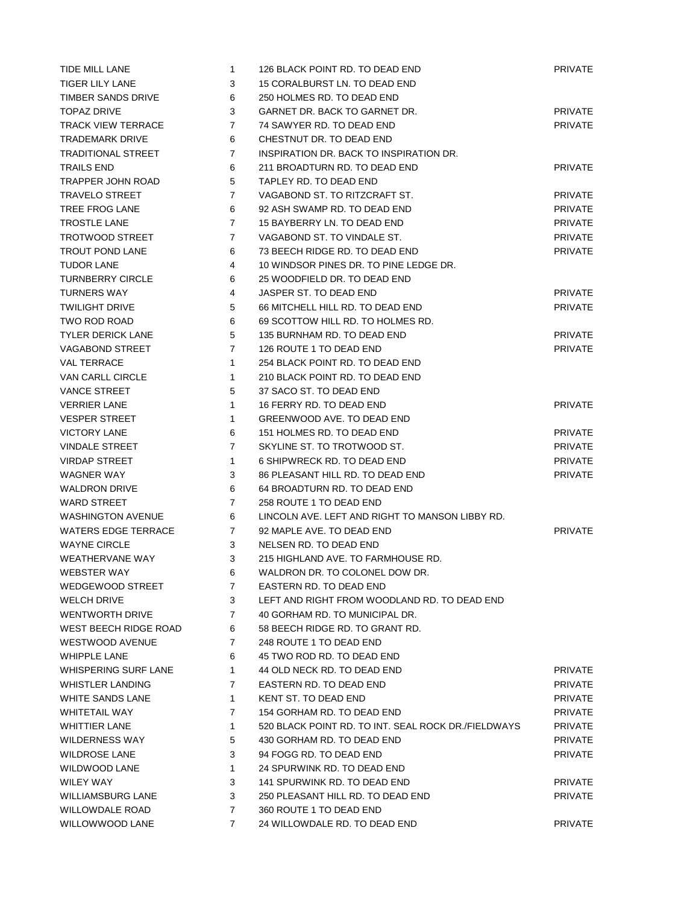| TIDE MILL LANE            | $\mathbf{1}$   | 126 BLACK POINT RD. TO DEAD END                     | <b>PRIVATE</b> |
|---------------------------|----------------|-----------------------------------------------------|----------------|
| <b>TIGER LILY LANE</b>    | 3              | 15 CORALBURST LN. TO DEAD END                       |                |
| TIMBER SANDS DRIVE        | 6              | 250 HOLMES RD. TO DEAD END                          |                |
| <b>TOPAZ DRIVE</b>        | 3              | GARNET DR. BACK TO GARNET DR.                       | <b>PRIVATE</b> |
| <b>TRACK VIEW TERRACE</b> | $\overline{7}$ | 74 SAWYER RD. TO DEAD END                           | <b>PRIVATE</b> |
| TRADEMARK DRIVE           | 6              | CHESTNUT DR. TO DEAD END                            |                |
| <b>TRADITIONAL STREET</b> | $\overline{7}$ | INSPIRATION DR. BACK TO INSPIRATION DR.             |                |
| <b>TRAILS END</b>         | 6              | 211 BROADTURN RD. TO DEAD END                       | <b>PRIVATE</b> |
| TRAPPER JOHN ROAD         | 5              | TAPLEY RD. TO DEAD END                              |                |
| <b>TRAVELO STREET</b>     | $\overline{7}$ | VAGABOND ST. TO RITZCRAFT ST.                       | <b>PRIVATE</b> |
| TREE FROG LANE            | 6              | 92 ASH SWAMP RD. TO DEAD END                        | <b>PRIVATE</b> |
| <b>TROSTLE LANE</b>       | $\overline{7}$ | 15 BAYBERRY LN. TO DEAD END                         | <b>PRIVATE</b> |
| TROTWOOD STREET           | 7              | VAGABOND ST. TO VINDALE ST.                         | <b>PRIVATE</b> |
| <b>TROUT POND LANE</b>    | 6              | 73 BEECH RIDGE RD. TO DEAD END                      | <b>PRIVATE</b> |
| TUDOR LANE                | 4              | 10 WINDSOR PINES DR. TO PINE LEDGE DR.              |                |
| <b>TURNBERRY CIRCLE</b>   | 6              | 25 WOODFIELD DR. TO DEAD END                        |                |
| <b>TURNERS WAY</b>        | 4              | JASPER ST. TO DEAD END                              | <b>PRIVATE</b> |
| <b>TWILIGHT DRIVE</b>     | 5              | 66 MITCHELL HILL RD. TO DEAD END                    | <b>PRIVATE</b> |
| TWO ROD ROAD              | 6              | 69 SCOTTOW HILL RD. TO HOLMES RD.                   |                |
| <b>TYLER DERICK LANE</b>  | 5              | 135 BURNHAM RD. TO DEAD END                         | <b>PRIVATE</b> |
| <b>VAGABOND STREET</b>    | $\overline{7}$ | 126 ROUTE 1 TO DEAD END                             | <b>PRIVATE</b> |
| <b>VAL TERRACE</b>        | $\mathbf{1}$   | 254 BLACK POINT RD. TO DEAD END                     |                |
| VAN CARLL CIRCLE          | $\mathbf{1}$   | 210 BLACK POINT RD. TO DEAD END                     |                |
| <b>VANCE STREET</b>       | 5              | 37 SACO ST. TO DEAD END                             |                |
| <b>VERRIER LANE</b>       | $\mathbf{1}$   | 16 FERRY RD. TO DEAD END                            | <b>PRIVATE</b> |
| <b>VESPER STREET</b>      | $\mathbf{1}$   | GREENWOOD AVE. TO DEAD END                          |                |
| <b>VICTORY LANE</b>       | 6              | 151 HOLMES RD. TO DEAD END                          | <b>PRIVATE</b> |
| <b>VINDALE STREET</b>     | $\overline{7}$ | SKYLINE ST. TO TROTWOOD ST.                         | <b>PRIVATE</b> |
| <b>VIRDAP STREET</b>      | $\mathbf{1}$   | 6 SHIPWRECK RD. TO DEAD END                         | <b>PRIVATE</b> |
| <b>WAGNER WAY</b>         | 3              | 86 PLEASANT HILL RD. TO DEAD END                    | <b>PRIVATE</b> |
| <b>WALDRON DRIVE</b>      | 6              | 64 BROADTURN RD. TO DEAD END                        |                |
| <b>WARD STREET</b>        | $\overline{7}$ | 258 ROUTE 1 TO DEAD END                             |                |
| <b>WASHINGTON AVENUE</b>  | 6              | LINCOLN AVE, LEFT AND RIGHT TO MANSON LIBBY RD.     |                |
| WATERS EDGE TERRACE       | 7              | 92 MAPLE AVE. TO DEAD END                           | <b>PRIVATE</b> |
| <b>WAYNE CIRCLE</b>       | 3              | NELSEN RD. TO DEAD END                              |                |
| <b>WEATHERVANE WAY</b>    | 3              | 215 HIGHLAND AVE. TO FARMHOUSE RD.                  |                |
| <b>WEBSTER WAY</b>        | 6              | WALDRON DR. TO COLONEL DOW DR.                      |                |
| WEDGEWOOD STREET          | 7              | EASTERN RD. TO DEAD END                             |                |
| <b>WELCH DRIVE</b>        | 3              | LEFT AND RIGHT FROM WOODLAND RD. TO DEAD END        |                |
| <b>WENTWORTH DRIVE</b>    | $\overline{7}$ | 40 GORHAM RD. TO MUNICIPAL DR.                      |                |
| WEST BEECH RIDGE ROAD     | 6              | 58 BEECH RIDGE RD. TO GRANT RD.                     |                |
| <b>WESTWOOD AVENUE</b>    | $\overline{7}$ | 248 ROUTE 1 TO DEAD END                             |                |
| <b>WHIPPLE LANE</b>       | 6              | 45 TWO ROD RD. TO DEAD END                          |                |
| WHISPERING SURF LANE      | $\mathbf{1}$   | 44 OLD NECK RD. TO DEAD END                         | PRIVATE        |
| <b>WHISTLER LANDING</b>   | $\overline{7}$ | EASTERN RD. TO DEAD END                             | <b>PRIVATE</b> |
| WHITE SANDS LANE          | $\mathbf{1}$   | KENT ST. TO DEAD END                                | <b>PRIVATE</b> |
| WHITETAIL WAY             | $\overline{7}$ | 154 GORHAM RD. TO DEAD END                          | <b>PRIVATE</b> |
| <b>WHITTIER LANE</b>      | $\mathbf{1}$   | 520 BLACK POINT RD. TO INT. SEAL ROCK DR./FIELDWAYS | <b>PRIVATE</b> |
| WILDERNESS WAY            | 5              | 430 GORHAM RD. TO DEAD END                          | <b>PRIVATE</b> |
| <b>WILDROSE LANE</b>      | 3              | 94 FOGG RD. TO DEAD END                             | <b>PRIVATE</b> |
| WILDWOOD LANE             | $\mathbf{1}$   | 24 SPURWINK RD. TO DEAD END                         |                |
| WILEY WAY                 | 3              | 141 SPURWINK RD. TO DEAD END                        | <b>PRIVATE</b> |
| WILLIAMSBURG LANE         | 3              | 250 PLEASANT HILL RD. TO DEAD END                   | <b>PRIVATE</b> |
| WILLOWDALE ROAD           | $\overline{7}$ | 360 ROUTE 1 TO DEAD END                             |                |
| WILLOWWOOD LANE           | $\overline{7}$ | 24 WILLOWDALE RD. TO DEAD END                       | PRIVATE        |
|                           |                |                                                     |                |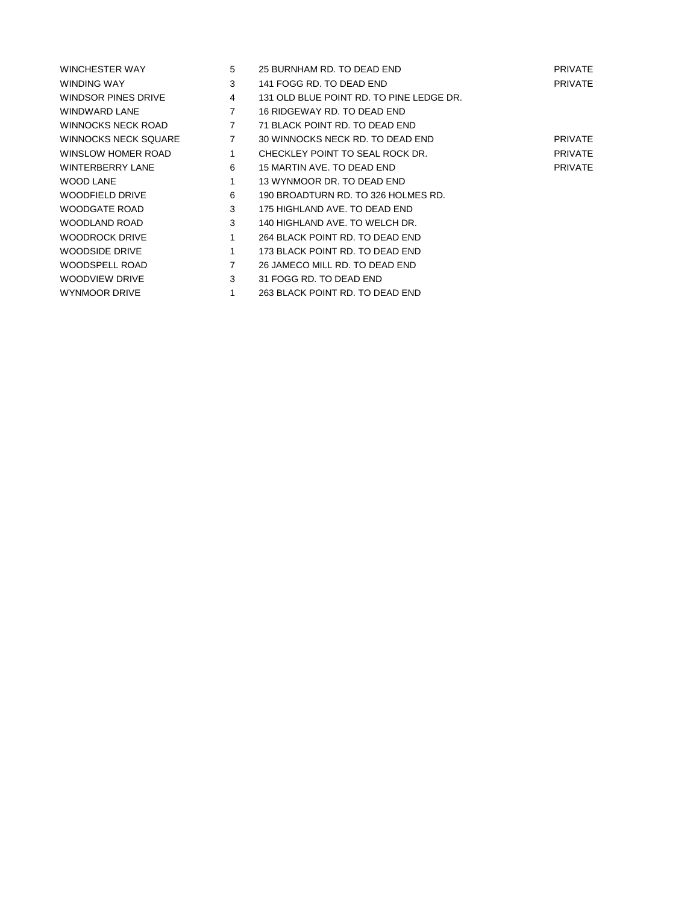| WINCHESTER WAY              | 5              | 25 BURNHAM RD. TO DEAD END               | <b>PRIVATE</b> |
|-----------------------------|----------------|------------------------------------------|----------------|
| WINDING WAY                 | 3              | 141 FOGG RD. TO DEAD END                 | <b>PRIVATE</b> |
| WINDSOR PINES DRIVE         | 4              | 131 OLD BLUE POINT RD. TO PINE LEDGE DR. |                |
| WINDWARD LANE               | 7              | 16 RIDGEWAY RD. TO DEAD END              |                |
| <b>WINNOCKS NECK ROAD</b>   | 7              | 71 BLACK POINT RD. TO DEAD END           |                |
| <b>WINNOCKS NECK SQUARE</b> | $\overline{7}$ | 30 WINNOCKS NECK RD. TO DEAD END         | <b>PRIVATE</b> |
| WINSLOW HOMER ROAD          | 1              | CHECKLEY POINT TO SEAL ROCK DR.          | <b>PRIVATE</b> |
| <b>WINTERBERRY LANE</b>     | 6              | 15 MARTIN AVE. TO DEAD END               | <b>PRIVATE</b> |
| <b>WOOD LANE</b>            | 1              | 13 WYNMOOR DR. TO DEAD END               |                |
| WOODFIELD DRIVE             | 6              | 190 BROADTURN RD. TO 326 HOLMES RD.      |                |
| WOODGATE ROAD               | 3              | 175 HIGHLAND AVE. TO DEAD END            |                |
| WOODLAND ROAD               | 3              | 140 HIGHLAND AVE. TO WELCH DR.           |                |
| <b>WOODROCK DRIVE</b>       | 1              | 264 BLACK POINT RD. TO DEAD END          |                |
| WOODSIDE DRIVE              | 1              | 173 BLACK POINT RD. TO DEAD END          |                |
| WOODSPELL ROAD              | 7              | 26 JAMECO MILL RD. TO DEAD END           |                |
| WOODVIEW DRIVE              | 3              | 31 FOGG RD. TO DEAD END                  |                |
| <b>WYNMOOR DRIVE</b>        |                | 263 BLACK POINT RD. TO DEAD END          |                |
|                             |                |                                          |                |